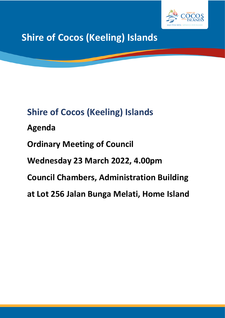

**Shire of Cocos (Keeling) Islands**

# **Shire of Cocos (Keeling) Islands**

**Agenda**

**Ordinary Meeting of Council**

**Wednesday 23 March 2022, 4.00pm**

**Council Chambers, Administration Building** 

**at Lot 256 Jalan Bunga Melati, Home Island**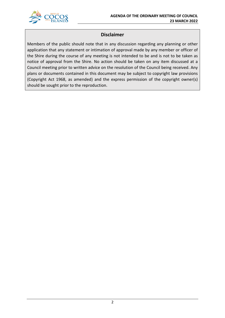

## **Disclaimer**

Members of the public should note that in any discussion regarding any planning or other application that any statement or intimation of approval made by any member or officer of the Shire during the course of any meeting is not intended to be and is not to be taken as notice of approval from the Shire. No action should be taken on any item discussed at a Council meeting prior to written advice on the resolution of the Council being received. Any plans or documents contained in this document may be subject to copyright law provisions (Copyright Act 1968, as amended) and the express permission of the copyright owner(s) should be sought prior to the reproduction.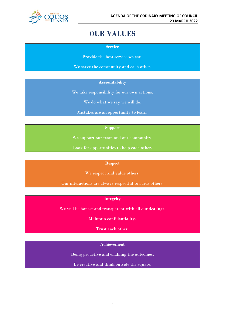

## **OUR VALUES**

**Service**

Provide the best service we can.

We serve the community and each other.

#### **Accountability**

We take responsibility for our own actions.

We do what we say we will do.

Mistakes are an opportunity to learn.

#### **Support**

We support our team and our community.

Look for opportunities to help each other.

#### **Respect**

We respect and value others.

Our interactions are always respectful towards others.

#### **Integrity**

We will be honest and transparent with all our dealings.

Maintain confidentiality.

Trust each other.

#### **Achievement**

Being proactive and enabling the outcomes.

Be creative and think outside the square.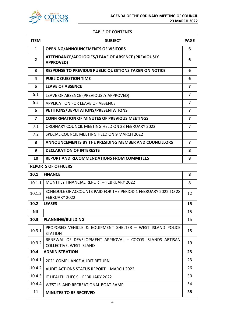

#### **TABLE OF CONTENTS**

| <b>ITEM</b>    | <b>SUBJECT</b>                                                                            | <b>PAGE</b>    |
|----------------|-------------------------------------------------------------------------------------------|----------------|
| $\mathbf{1}$   | <b>OPENING/ANNOUNCEMENTS OF VISITORS</b>                                                  | 6              |
| $\overline{2}$ | ATTENDANCE/APOLOGIES/LEAVE OF ABSENCE (PREVIOUSLY<br><b>APPROVED)</b>                     | 6              |
| 3              | <b>RESPONSE TO PREVIOUS PUBLIC QUESTIONS TAKEN ON NOTICE</b>                              | 6              |
| 4              | <b>PUBLIC QUESTION TIME</b>                                                               | 6              |
| 5              | <b>LEAVE OF ABSENCE</b>                                                                   | 7              |
| 5.1            | LEAVE OF ABSENCE (PREVIOUSLY APPROVED)                                                    | $\overline{7}$ |
| 5.2            | APPLICATION FOR LEAVE OF ABSENCE                                                          | 7              |
| 6              | PETITIONS/DEPUTATIONS/PRESENTATIONS                                                       | $\overline{ }$ |
| $\overline{7}$ | <b>CONFIRMATION OF MINUTES OF PREVIOUS MEETINGS</b>                                       | 7              |
| 7.1            | ORDINARY COUNCIL MEETING HELD ON 23 FEBRUARY 2022                                         | $\overline{7}$ |
| 7.2            | SPECIAL COUNCIL MEETING HELD ON 9 MARCH 2022                                              |                |
| 8              | <b>ANNOUNCEMENTS BY THE PRESIDING MEMBER AND COUNCILLORS</b>                              | 7              |
| 9              | <b>DECLARATION OF INTERESTS</b>                                                           | 8              |
| 10             | <b>REPORT AND RECOMMENDATIONS FROM COMMITEES</b>                                          | 8              |
|                | <b>REPORTS OF OFFICERS</b>                                                                |                |
| 10.1           | <b>FINANCE</b>                                                                            | 8              |
| 10.1.1         | <b>MONTHLY FINANCIAL REPORT - FEBRUARY 2022</b>                                           | 8              |
| 10.1.2         | SCHEDULE OF ACCOUNTS PAID FOR THE PERIOD 1 FEBRUARY 2022 TO 28<br>FEBRUARY 2022           | 12             |
| 10.2           | <b>LEASES</b>                                                                             | 15             |
| <b>NIL</b>     |                                                                                           | 15             |
| 10.3           | <b>PLANNING/BUILDING</b>                                                                  | 15             |
| 10.3.1         | PROPOSED VEHICLE & EQUIPMENT SHELTER - WEST ISLAND POLICE<br><b>STATION</b>               | 15             |
| 10.3.2         | RENEWAL OF DEVELOPMENT APPROVAL - COCOS ISLANDS ARTISAN<br><b>COLLECTIVE, WEST ISLAND</b> | 19             |
| 10.4           | <b>ADMINISTRATION</b>                                                                     | 23             |
| 10.4.1         | <b>2021 COMPLIANCE AUDIT RETURN</b>                                                       | 23             |
| 10.4.2         | <b>AUDIT ACTIONS STATUS REPORT - MARCH 2022</b>                                           | 26             |
| 10.4.3         | IT HEALTH CHECK - FEBRUARY 2022                                                           | 30             |
| 10.4.4         | WEST ISLAND RECREATIONAL BOAT RAMP                                                        | 34             |
| 11             | <b>MINUTES TO BE RECEIVED</b>                                                             | 38             |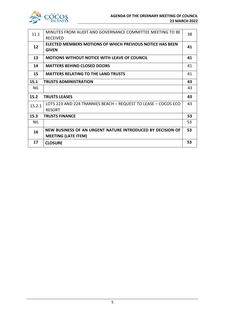

| 17         | <b>CLOSURE</b>                                                                           | 53 |
|------------|------------------------------------------------------------------------------------------|----|
| 16         | NEW BUSINESS OF AN URGENT NATURE INTRODUCED BY DECISION OF<br><b>MEETING (LATE ITEM)</b> | 53 |
| <b>NIL</b> |                                                                                          | 53 |
| 15.3       | <b>TRUSTS FINANCE</b>                                                                    | 53 |
| 15.2.1     | LOTS 223 AND 224 TRANNIES BEACH - REQUEST TO LEASE - COCOS ECO<br><b>RESORT</b>          | 43 |
| 15.2       | <b>TRUSTS LEASES</b>                                                                     | 43 |
| <b>NIL</b> |                                                                                          | 43 |
| 15.1       | <b>TRUSTS ADMINISTRATION</b>                                                             | 43 |
| 15         | <b>MATTERS RELATING TO THE LAND TRUSTS</b>                                               | 41 |
| 14         | <b>MATTERS BEHIND CLOSED DOORS</b>                                                       | 41 |
| 13         | <b>MOTIONS WITHOUT NOTICE WITH LEAVE OF COUNCIL</b>                                      | 41 |
| 12         | ELECTED MEMBERS MOTIONS OF WHICH PREVIOUS NOTICE HAS BEEN<br><b>GIVEN</b>                | 41 |
| 11.1       | MINUTES FROM AUDIT AND GOVERNANCE COMMITTEE MEETING TO BE<br><b>RECEIVED</b>             | 38 |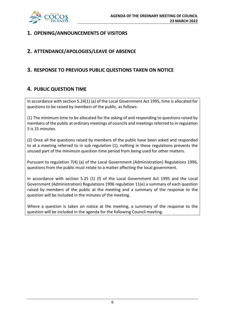

## **1. OPENING/ANNOUNCEMENTS OF VISITORS**

## **2. ATTENDANCE/APOLOGIES/LEAVE OF ABSENCE**

## **3. RESPONSE TO PREVIOUS PUBLIC QUESTIONS TAKEN ON NOTICE**

## **4. PUBLIC QUESTION TIME**

In accordance with section 5.24(1) (a) of the Local Government Act 1995, time is allocated for questions to be raised by members of the public, as follows:

(1) The minimum time to be allocated for the asking of and responding to questions raised by members of the public at ordinary meetings of councils and meetings referred to in regulation 5 is 15 minutes.

(2) Once all the questions raised by members of the public have been asked and responded to at a meeting referred to in sub regulation (1), nothing in these regulations prevents the unused part of the minimum question time period from being used for other matters.

Pursuant to regulation 7(4) (a) of the Local Government (Administration) Regulations 1996, questions from the public must relate to a matter affecting the local government.

In accordance with section 5.25 (1) (f) of the Local Government Act 1995 and the Local Government (Administration) Regulations 1996 regulation 11(e) a summary of each question raised by members of the public at the meeting and a summary of the response to the question will be included in the minutes of the meeting.

Where a question is taken on notice at the meeting, a summary of the response to the question will be included in the agenda for the following Council meeting.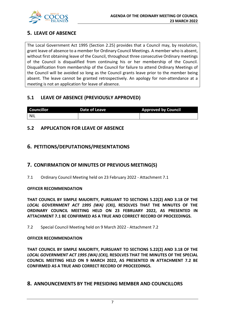

## **5. LEAVE OF ABSENCE**

The Local Government Act 1995 (Section 2.25) provides that a Council may, by resolution, grant leave of absence to a member for Ordinary Council Meetings. A member who is absent, without first obtaining leave of the Council, throughout three consecutive Ordinary meetings of the Council is disqualified from continuing his or her membership of the Council. Disqualification from membership of the Council for failure to attend Ordinary Meetings of the Council will be avoided so long as the Council grants leave prior to the member being absent. The leave cannot be granted retrospectively. An apology for non-attendance at a meeting is not an application for leave of absence.

## **5.1 LEAVE OF ABSENCE (PREVIOUSLY APPROVED)**

| <b>Councillor</b> | Date of Leave | <b>Approved by Council</b> |
|-------------------|---------------|----------------------------|
| <b>NIL</b>        |               |                            |

## **5.2 APPLICATION FOR LEAVE OF ABSENCE**

## **6. PETITIONS/DEPUTATIONS/PRESENTATIONS**

## **7. CONFIRMATION OF MINUTES OF PREVIOUS MEETING(S)**

7.1 Ordinary Council Meeting held on 23 February 2022 - Attachment 7.1

#### **OFFICER RECOMMENDATION**

**THAT COUNCIL BY SIMPLE MAJORITY, PURSUANT TO SECTIONS 5.22(2) AND 3.18 OF THE**  *LOCAL GOVERNMENT ACT 1995 (WA) (CKI),* **RESOLVES THAT THE MINUTES OF THE ORDINARY COUNCIL MEETING HELD ON 23 FEBRUARY 2022, AS PRESENTED IN ATTACHMENT 7.1 BE CONFIRMED AS A TRUE AND CORRECT RECORD OF PROCEEDINGS.**

7.2 Special Council Meeting held on 9 March 2022 - Attachment 7.2

#### **OFFICER RECOMMENDATION**

**THAT COUNCIL BY SIMPLE MAJORITY, PURSUANT TO SECTIONS 5.22(2) AND 3.18 OF THE**  *LOCAL GOVERNMENT ACT 1995 (WA) (CKI),* **RESOLVES THAT THE MINUTES OF THE SPECIAL COUNCIL MEETING HELD ON 9 MARCH 2022, AS PRESENTED IN ATTACHMENT 7.2 BE CONFIRMED AS A TRUE AND CORRECT RECORD OF PROCEEDINGS.**

## **8. ANNOUNCEMENTS BY THE PRESIDING MEMBER AND COUNCILLORS**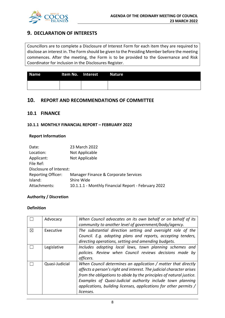

## **9. DECLARATION OF INTERESTS**

Councillors are to complete a Disclosure of Interest Form for each item they are required to disclose an interest in. The Form should be given to the Presiding Member before the meeting commences. After the meeting, the Form is to be provided to the Governance and Risk Coordinator for inclusion in the Disclosures Register.

| <b>Name</b> | Item No. Interest Nature |  |
|-------------|--------------------------|--|
|             |                          |  |

## **10. REPORT AND RECOMMENDATIONS OF COMMITTEE**

#### **10.1 FINANCE**

#### **10.1.1 MONTHLY FINANCIAL REPORT – FEBRUARY 2022**

#### **Report Information**

| Date:                     | 23 March 2022                                       |
|---------------------------|-----------------------------------------------------|
| Location:                 | Not Applicable                                      |
| Applicant:                | Not Applicable                                      |
| File Ref:                 |                                                     |
| Disclosure of Interest:   |                                                     |
| <b>Reporting Officer:</b> | Manager Finance & Corporate Services                |
| Island:                   | Shire Wide                                          |
| Attachments:              | 10.1.1.1 - Monthly Financial Report - February 2022 |

#### **Authority / Discretion**

#### **Definition**

|   | Advocacy       | When Council advocates on its own behalf or on behalf of its<br>community to another level of government/body/agency.                                                                                                                                                                                                                                        |
|---|----------------|--------------------------------------------------------------------------------------------------------------------------------------------------------------------------------------------------------------------------------------------------------------------------------------------------------------------------------------------------------------|
| ⊠ | Executive      | The substantial direction setting and oversight role of the<br>Council. E.g. adopting plans and reports, accepting tenders,<br>directing operations, setting and amending budgets.                                                                                                                                                                           |
|   | Legislative    | Includes adopting local laws, town planning schemes and<br>policies. Review when Council reviews decisions made by<br>officers.                                                                                                                                                                                                                              |
|   | Quasi-Judicial | When Council determines an application / matter that directly<br>affects a person's right and interest. The judicial character arises<br>from the obligations to abide by the principles of natural justice.<br>Examples of Quasi-Judicial authority include town planning<br>applications, building licenses, applications for other permits /<br>licenses. |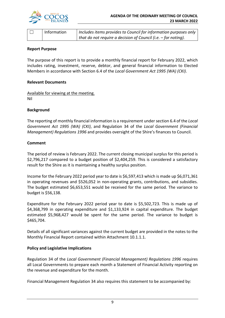

| Information | Includes items provides to Council for information purposes only |  |
|-------------|------------------------------------------------------------------|--|
|             | that do not require a decision of Council (i.e. $-$ for noting). |  |

#### **Report Purpose**

The purpose of this report is to provide a monthly financial report for February 2022, which includes rating, investment, reserve, debtor, and general financial information to Elected Members in accordance with Section 6.4 of the *Local Government Act 1995 (WA) (CKI)*.

#### **Relevant Documents**

Available for viewing at the meeting. Nil

#### **Background**

The reporting of monthly financial information is a requirement under section 6.4 of the *Local Government Act 1995 (WA) (CKI)*, and Regulation 34 of the *Local Government (Financial Management) Regulations 1996* and provides oversight of the Shire's finances to Council.

#### **Comment**

The period of review is February 2022. The current closing municipal surplus for this period is \$2,796,217 compared to a budget position of \$2,404,259. This is considered a satisfactory result for the Shire as it is maintaining a healthy surplus position.

Income for the February 2022 period year to date is \$6,597,413 which is made up \$6,071,361 in operating revenues and \$526,052 in non-operating grants, contributions, and subsidies. The budget estimated \$6,653,551 would be received for the same period. The variance to budget is \$56,138.

Expenditure for the February 2022 period year to date is \$5,502,723. This is made up of \$4,368,799 in operating expenditure and \$1,133,924 in capital expenditure. The budget estimated \$5,968,427 would be spent for the same period. The variance to budget is \$465,704.

Details of all significant variances against the current budget are provided in the notes to the Monthly Financial Report contained within Attachment 10.1.1.1.

#### **Policy and Legislative Implications**

Regulation 34 of the *Local Government (Financial Management) Regulations 1996* requires all Local Governments to prepare each month a Statement of Financial Activity reporting on the revenue and expenditure for the month.

Financial Management Regulation 34 also requires this statement to be accompanied by: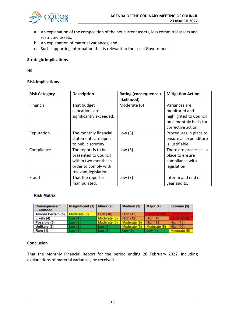

- a. An explanation of the composition of the net current assets, less committal assets and restricted assets;
- b. An explanation of material variances; and
- c. Such supporting information that is relevant to the Local Government

#### **Strategic Implications**

Nil

#### **Risk Implications**

| <b>Risk Category</b> | <b>Description</b>                                                                                                   | <b>Rating (consequence x</b><br>likelihood) | <b>Mitigation Action</b>                                                     |
|----------------------|----------------------------------------------------------------------------------------------------------------------|---------------------------------------------|------------------------------------------------------------------------------|
| Financial            | That budget<br>allocations are<br>significantly exceeded.                                                            | Moderate (6)                                | Variances are<br>monitored and<br>highlighted to Council                     |
|                      |                                                                                                                      |                                             | on a monthly basis for<br>corrective action.                                 |
| Reputation           | The monthly financial<br>statements are open<br>to public scrutiny.                                                  | Low $(3)$                                   | Procedures in place to<br>ensure all expenditure<br>is justifiable.          |
| Compliance           | The report is to be<br>presented to Council<br>within two months in<br>order to comply with<br>relevant legislation. | Low $(3)$                                   | There are processes in<br>place to ensure<br>compliance with<br>legislation. |
| Fraud                | That the report is<br>manipulated.                                                                                   | Low $(3)$                                   | Interim and end of<br>year audits.                                           |

#### **Risk Matrix**

| <b>Consequence /</b><br>Likelihood | Insignificant (1) | Minor $(2)$      | Medium (3)       | Major (4)        | Extreme (5)      |
|------------------------------------|-------------------|------------------|------------------|------------------|------------------|
| <b>Almost Certain (5)</b>          | Moderate (5)      | <b>High (10)</b> | <b>High (15)</b> | Extreme (20)     | Extreme (25)     |
| Likely (4)                         | Low (4)           | Moderate (8)     | <b>High (12)</b> | <b>High (16)</b> | Extreme (20)     |
| Possible (3)                       | Low (3)           | Moderate (6)     | Moderate (9)     | <b>High (12)</b> | <b>High (15)</b> |
| Unlikely (2)                       | Low (2)           | Low $(4)$        | Moderate (6)     | Moderate (8)     | High $(10)$      |
| Rare (1)                           | Low (1)           | Low(2)           | Low $(3)$        | Low $(4)$        | Moderate (5)     |

#### **Conclusion**

That the Monthly Financial Report for the period ending 28 February 2022, including explanations of material variances, be received.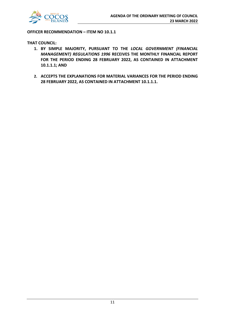

**OFFICER RECOMMENDATION – ITEM NO 10.1.1**

**THAT COUNCIL:**

- **1. BY SIMPLE MAJORITY, PURSUANT TO THE** *LOCAL GOVERNMENT (FINANCIAL MANAGEMENT) REGULATIONS 1996* **RECEIVES THE MONTHLY FINANCIAL REPORT FOR THE PERIOD ENDING 28 FEBRUARY 2022, AS CONTAINED IN ATTACHMENT 10.1.1.1; AND**
- **2. ACCEPTS THE EXPLANATIONS FOR MATERIAL VARIANCES FOR THE PERIOD ENDING 28 FEBRUARY 2022, AS CONTAINED IN ATTACHMENT 10.1.1.1.**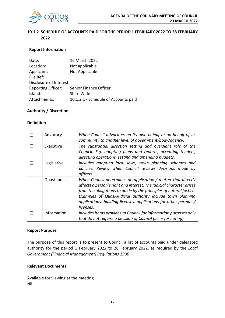

#### **10.1.2 SCHEDULE OF ACCOUNTS PAID FOR THE PERIOD 1 FEBRUARY 2022 TO 28 FEBRUARY 2022**

#### **Report Information**

| Date:                     | 16 March 2022                        |
|---------------------------|--------------------------------------|
| Location:                 | Not applicable                       |
| Applicant:                | Not Applicable                       |
| File Ref:                 |                                      |
| Disclosure of Interest:   |                                      |
| <b>Reporting Officer:</b> | Senior Finance Officer               |
| Island:                   | Shire Wide                           |
| Attachments:              | 10.1.2.1 - Schedule of Accounts paid |

#### **Authority / Discretion**

#### **Definition**

|   | Advocacy       | When Council advocates on its own behalf or on behalf of its         |
|---|----------------|----------------------------------------------------------------------|
|   |                | community to another level of government/body/agency.                |
|   | Executive      | The substantial direction setting and oversight role of the          |
|   |                | Council. E.g. adopting plans and reports, accepting tenders,         |
|   |                | directing operations, setting and amending budgets.                  |
| ⊠ | Legislative    | Includes adopting local laws, town planning schemes and              |
|   |                | policies. Review when Council reviews decisions made by              |
|   |                | officers.                                                            |
|   | Quasi-Judicial | When Council determines an application / matter that directly        |
|   |                | affects a person's right and interest. The judicial character arises |
|   |                | from the obligations to abide by the principles of natural justice.  |
|   |                | Examples of Quasi-Judicial authority include town planning           |
|   |                | applications, building licenses, applications for other permits /    |
|   |                | licenses.                                                            |
|   | Information    | Includes items provides to Council for information purposes only     |
|   |                | that do not require a decision of Council (i.e. $-$ for noting).     |

#### **Report Purpose**

The purpose of this report is to present to Council a list of accounts paid under delegated authority for the period 1 February 2022 to 28 February 2022, as required by the *Local Government (Financial Management) Regulations 1996*.

#### **Relevant Documents**

Available for viewing at the meeting Nil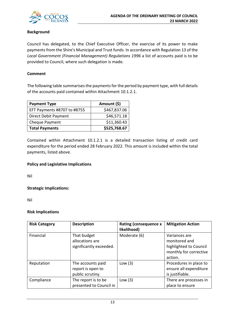

#### **Background**

Council has delegated, to the Chief Executive Officer, the exercise of its power to make payments from the Shire's Municipal and Trust funds. In accordance with Regulation 13 of the *Local Government (Financial Management) Regulations 1996* a list of accounts paid is to be provided to Council, where such delegation is made.

#### **Comment**

The following table summarises the payments for the period by payment type, with full details of the accounts paid contained within Attachment 10.1.2.1.

| <b>Payment Type</b>         | Amount (\$)  |
|-----------------------------|--------------|
| EFT Payments #8707 to #8755 | \$467,837.06 |
| Direct Debit Payment        | \$46,571.18  |
| Cheque Payment              | \$11,360.43  |
| <b>Total Payments</b>       | \$525,768.67 |

Contained within Attachment 10.1.2.1 is a detailed transaction listing of credit card expenditure for the period ended 28 February 2022. This amount is included within the total payments, listed above.

#### **Policy and Legislative Implications**

Nil

**Strategic Implications:**

Nil

#### **Risk Implications**

| <b>Risk Category</b> | <b>Description</b>                                         | <b>Rating (consequence x</b><br>likelihood) | <b>Mitigation Action</b>                                                                      |
|----------------------|------------------------------------------------------------|---------------------------------------------|-----------------------------------------------------------------------------------------------|
| Financial            | That budget<br>allocations are<br>significantly exceeded.  | Moderate (6)                                | Variances are<br>monitored and<br>highlighted to Council<br>monthly for corrective<br>action. |
| Reputation           | The accounts paid<br>report is open to<br>public scrutiny. | Low $(3)$                                   | Procedures in place to<br>ensure all expenditure<br>is justifiable.                           |
| Compliance           | The report is to be<br>presented to Council in             | Low $(3)$                                   | There are processes in<br>place to ensure                                                     |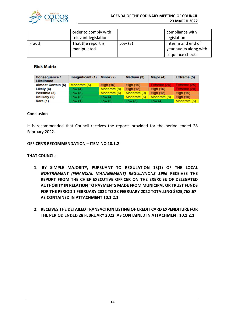

|       | order to comply with<br>relevant legislation. |           | compliance with<br>legislation.                                  |
|-------|-----------------------------------------------|-----------|------------------------------------------------------------------|
| Fraud | That the report is<br>manipulated.            | Low $(3)$ | Interim and end of<br>year audits along with<br>sequence checks. |

#### **Risk Matrix**

| Consequence /<br>Likelihood | Insignificant (1) | Minor (2)        | Medium (3)       | Major (4)        | Extreme (5)      |
|-----------------------------|-------------------|------------------|------------------|------------------|------------------|
| <b>Almost Certain (5)</b>   | Moderate (5)      | <b>High (10)</b> | <b>High (15)</b> | Extreme (20)     | Extreme (25)     |
| Likely (4)                  | Low(4)            | Moderate (8)     | <b>High (12)</b> | <b>High (16)</b> | Extreme (20)     |
| Possible (3)                | Low(3)            | Moderate (6)     | Moderate (9)     | <b>High (12)</b> | <b>High (15)</b> |
| Unlikely (2)                | Low(2)            | Low $(4)$        | Moderate (6)     | Moderate (8)     | <b>High (10)</b> |
| Rare (1)                    | Low(1)            | Low(2)           | Low(3)           | Low $(4)$        | Moderate (5)     |

#### **Conclusion**

It is recommended that Council receives the reports provided for the period ended 28 February 2022.

#### **OFFICER'S RECOMMENDATION – ITEM NO 10.1.2**

#### **THAT COUNCIL:**

- **1. BY SIMPLE MAJORITY, PURSUANT TO REGULATION 13(1) OF THE LOCAL**  *GOVERNMENT (FINANCIAL MANAGEMENT) REGULATIONS 1996* **RECEIVES THE REPORT FROM THE CHIEF EXECUTIVE OFFICER ON THE EXERCISE OF DELEGATED AUTHORITY IN RELATION TO PAYMENTS MADE FROM MUNICIPAL OR TRUST FUNDS FOR THE PERIOD 1 FEBRUARY 2022 TO 28 FEBRUARY 2022 TOTALLING \$525,768.67 AS CONTAINED IN ATTACHMENT 10.1.2.1.**
- **2. RECEIVES THE DETAILED TRANSACTION LISTING OF CREDIT CARD EXPENDITURE FOR THE PERIOD ENDED 28 FEBRUARY 2022, AS CONTAINED IN ATTACHMENT 10.1.2.1.**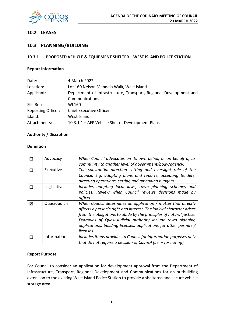

## **10.2 LEASES**

## **10.3 PLANNING/BUILDING**

#### **10.3.1 PROPOSED VEHICLE & EQUIPMENT SHELTER – WEST ISLAND POLICE STATION**

#### **Report Information**

| Date:                     | 4 March 2022                                                      |
|---------------------------|-------------------------------------------------------------------|
| Location:                 | Lot 160 Nelson Mandela Walk, West Island                          |
| Applicant:                | Department of Infrastructure, Transport, Regional Development and |
|                           | Communications                                                    |
| File Ref:                 | WL160                                                             |
| <b>Reporting Officer:</b> | <b>Chief Executive Officer</b>                                    |
| Island:                   | West Island                                                       |
| Attachments:              | 10.3.1.1 - AFP Vehicle Shelter Development Plans                  |

#### **Authority / Discretion**

#### **Definition**

|   | Advocacy       | When Council advocates on its own behalf or on behalf of its<br>community to another level of government/body/agency.                                                                                                                                                                                                                                        |
|---|----------------|--------------------------------------------------------------------------------------------------------------------------------------------------------------------------------------------------------------------------------------------------------------------------------------------------------------------------------------------------------------|
|   | Executive      | The substantial direction setting and oversight role of the<br>Council. E.g. adopting plans and reports, accepting tenders,<br>directing operations, setting and amending budgets.                                                                                                                                                                           |
|   | Legislative    | Includes adopting local laws, town planning schemes and<br>policies. Review when Council reviews decisions made by<br>officers.                                                                                                                                                                                                                              |
| 区 | Quasi-Judicial | When Council determines an application / matter that directly<br>affects a person's right and interest. The judicial character arises<br>from the obligations to abide by the principles of natural justice.<br>Examples of Quasi-Judicial authority include town planning<br>applications, building licenses, applications for other permits /<br>licenses. |
|   | Information    | Includes items provides to Council for information purposes only<br>that do not require a decision of Council (i.e. $-$ for noting).                                                                                                                                                                                                                         |

#### **Report Purpose**

For Council to consider an application for development approval from the Department of Infrastructure, Transport, Regional Development and Communications for an outbuilding extension to the existing West Island Police Station to provide a sheltered and secure vehicle storage area.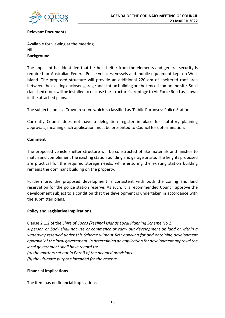

#### **Relevant Documents**

Available for viewing at the meeting Nil **Background** 

The applicant has identified that further shelter from the elements and general security is required for Australian Federal Police vehicles, vessels and mobile equipment kept on West Island. The proposed structure will provide an additional 220sqm of sheltered roof area between the existing enclosed garage and station building on the fenced compound site. Solid clad shed doors will be installed to enclose the structure's frontage to Air Force Road as shown in the attached plans.

The subject land is a Crown reserve which is classified as 'Public Purposes: Police Station'.

Currently Council does not have a delegation register in place for statutory planning approvals, meaning each application must be presented to Council for determination.

#### **Comment**

The proposed vehicle shelter structure will be constructed of like materials and finishes to match and complement the existing station building and garage onsite. The heights proposed are practical for the required storage needs, while ensuring the existing station building remains the dominant building on the property.

Furthermore, the proposed development is consistent with both the zoning and land reservation for the police station reserve. As such, it is recommended Council approve the development subject to a condition that the development is undertaken in accordance with the submitted plans.

#### **Policy and Legislative Implications**

Clause 2.1.2 of the *Shire of Cocos (keeling) Islands Local Planning Scheme No.1*:

*A person or body shall not use or commence or carry out development on land or within a waterway reserved under this Scheme without first applying for and obtaining development approval of the local government. In determining an application for development approval the local government shall have regard to:* 

*(a) the matters set out in Part 9 of the deemed provisions.* 

*(b) the ultimate purpose intended for the reserve.*

#### **Financial Implications**

The item has no financial implications.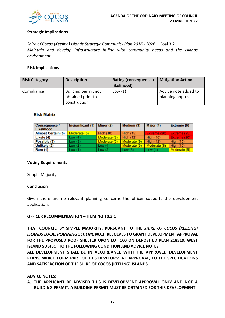

#### **Strategic Implications**

*Shire of Cocos (Keeling) Islands Strategic Community Plan 2016 - 2026* – Goal 3.2.1: *Maintain and develop infrastructure in-line with community needs and the Islands environment.*

#### **Risk Implications**

| <b>Risk Category</b> | <b>Description</b>                       | <b>Rating (consequence x</b><br>likelihood) | <b>Mitigation Action</b>                  |
|----------------------|------------------------------------------|---------------------------------------------|-------------------------------------------|
| Compliance           | Building permit not<br>obtained prior to | Low $(1)$                                   | Advice note added to<br>planning approval |
|                      | construction                             |                                             |                                           |

#### **Risk Matrix**

| <b>Consequence /</b><br>Likelihood | Insignificant (1) | Minor (2)        | Medium (3)       | Major (4)        | Extreme (5)      |
|------------------------------------|-------------------|------------------|------------------|------------------|------------------|
| <b>Almost Certain (5)</b>          | Moderate (5)      | <b>High (10)</b> | <b>High (15)</b> | Extreme (20)     | Extreme (25)     |
| Likely (4)                         | Low(4)            | Moderate (8)     | <b>High (12)</b> | <b>High (16)</b> | Extreme (20)     |
| Possible (3)                       | Low(3)            | Moderate (6)     | Moderate (9)     | High $(12)$      | <b>High (15)</b> |
| Unlikely (2)                       | Low(2)            | Low $(4)$        | Moderate (6)     | Moderate (8)     | <b>High (10)</b> |
| Rare (1)                           | Low(1)            | Low $(2)$        | Low $(3)$        | Low $(4)$        | Moderate (5)     |

#### **Voting Requirements**

Simple Majority

#### **Conclusion**

Given there are no relevant planning concerns the officer supports the development application.

#### **OFFICER RECOMMENDATION – ITEM NO 10.3.1**

**THAT COUNCIL, BY SIMPLE MAJORITY, PURSUANT TO THE** *SHIRE OF COCOS (KEELING) ISLANDS LOCAL PLANNING SCHEME NO.1***, RESOLVES TO GRANT DEVELOPMENT APPROVAL FOR THE PROPOSED ROOF SHELTER UPON LOT 160 ON DEPOSITED PLAN 218319, WEST ISLAND SUBJECT TO THE FOLLOWING CONDITION AND ADVICE NOTES:** 

**ALL DEVELOPMENT SHALL BE IN ACCORDANCE WITH THE APPROVED DEVELOPMENT PLANS, WHICH FORM PART OF THIS DEVELOPMENT APPROVAL, TO THE SPECIFICATIONS AND SATISFACTION OF THE SHIRE OF COCOS (KEELING) ISLANDS.**

#### **ADVICE NOTES:**

**A. THE APPLICANT BE ADVISED THIS IS DEVELOPMENT APPROVAL ONLY AND NOT A BUILDING PERMIT. A BUILDING PERMIT MUST BE OBTAINED FOR THIS DEVELOPMENT.**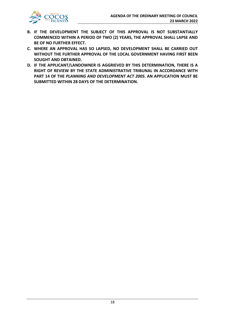

- **B. IF THE DEVELOPMENT THE SUBJECT OF THIS APPROVAL IS NOT SUBSTANTIALLY COMMENCED WITHIN A PERIOD OF TWO (2) YEARS, THE APPROVAL SHALL LAPSE AND BE OF NO FURTHER EFFECT.**
- **C. WHERE AN APPROVAL HAS SO LAPSED, NO DEVELOPMENT SHALL BE CARRIED OUT WITHOUT THE FURTHER APPROVAL OF THE LOCAL GOVERNMENT HAVING FIRST BEEN SOUGHT AND OBTAINED.**
- **D. IF THE APPLICANT/LANDOWNER IS AGGRIEVED BY THIS DETERMINATION, THERE IS A RIGHT OF REVIEW BY THE STATE ADMINISTRATIVE TRIBUNAL IN ACCORDANCE WITH PART 14 OF THE** *PLANNING AND DEVELOPMENT ACT 2005***. AN APPLICATION MUST BE SUBMITTED WITHIN 28 DAYS OF THE DETERMINATION.**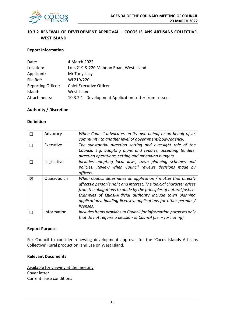

## **10.3.2 RENEWAL OF DEVELOPMENT APPROVAL – COCOS ISLANS ARTISANS COLLECTIVE, WEST ISLAND**

#### **Report Information**

| 4 March 2022                                          |
|-------------------------------------------------------|
| Lots 219 & 220 Mahoon Road, West Island               |
| Mr Tony Lacy                                          |
| WL219/220                                             |
| <b>Chief Executive Officer</b>                        |
| West Island                                           |
| 10.3.2.1 - Development Application Letter from Lessee |
|                                                       |

#### **Authority / Discretion**

#### **Definition**

|   | Advocacy       | When Council advocates on its own behalf or on behalf of its<br>community to another level of government/body/agency.                                                                                                                                                                                                                                        |
|---|----------------|--------------------------------------------------------------------------------------------------------------------------------------------------------------------------------------------------------------------------------------------------------------------------------------------------------------------------------------------------------------|
|   | Executive      | The substantial direction setting and oversight role of the<br>Council. E.g. adopting plans and reports, accepting tenders,<br>directing operations, setting and amending budgets.                                                                                                                                                                           |
|   | Legislative    | Includes adopting local laws, town planning schemes and<br>policies. Review when Council reviews decisions made by<br>officers.                                                                                                                                                                                                                              |
| 冈 | Quasi-Judicial | When Council determines an application / matter that directly<br>affects a person's right and interest. The judicial character arises<br>from the obligations to abide by the principles of natural justice.<br>Examples of Quasi-Judicial authority include town planning<br>applications, building licenses, applications for other permits /<br>licenses. |
|   | Information    | Includes items provides to Council for information purposes only<br>that do not require a decision of Council (i.e. $-$ for noting).                                                                                                                                                                                                                         |

#### **Report Purpose**

For Council to consider renewing development approval for the 'Cocos Islands Artisans Collective' Rural production land use on West Island.

#### **Relevant Documents**

Available for viewing at the meeting Cover letter Current lease conditions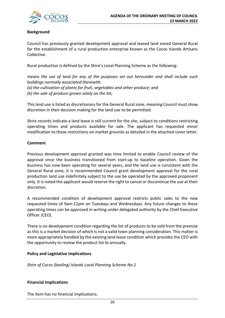

#### **Background**

Council has previously granted development approval and leased land zoned General Rural for the establishment of a rural production enterprise known as the Cocos Islands Artisans Collective.

Rural production is defined by the Shire's Local Planning Scheme as the following:

*means the use of land for any of the purposes set out hereunder and shall include such buildings normally associated therewith: (a) the cultivation of plants for fruit, vegetables and other produce; and (b) the sale of produce grown solely on the lot;*

This land use is listed as discretionary for the General Rural zone, meaning Council must show discretion in their decision making for the land use to be permitted.

Shire records indicate a land lease is still current for the site, subject to conditions restricting operating times and products available for sale. The applicant has requested minor modification to these restrictions on market grounds as detailed in the attached cover letter.

#### **Comment**

Previous development approval granted was time limited to enable Council review of the approval once the business transitioned from start-up to baseline operation. Given the business has now been operating for several years, and the land use is consistent with the General Rural zone, it is recommended Council grant development approval for the rural production land use indefinitely subject to the use be operated by the approved proponent only. It is noted the applicant would reserve the right to cancel or discontinue the use at their discretion.

A recommended condition of development approval restricts public sales to the new requested times of 9am-12pm on Tuesdays and Wednesdays. Any future changes to these operating times can be approved in writing under delegated authority by the Chief Executive Officer (CEO).

There is no development condition regarding the list of products to be sold from the premise as this is a market decision of which is not a valid town planning consideration. This matter is more appropriately handled by the existing land lease condition which provides the CEO with the opportunity to review the product list bi-annually.

#### **Policy and Legislative Implications**

*Shire of Cocos (keeling) Islands Local Planning Scheme No.1*

#### **Financial Implications**

The item has no financial implications.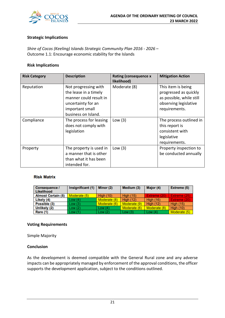

#### **Strategic Implications**

*Shire of Cocos (Keeling) Islands Strategic Community Plan 2016 - 2026* – Outcome 1.1: Encourage economic stability for the Islands

#### **Risk Implications**

| <b>Risk Category</b>                  | <b>Description</b>                              | <b>Rating (consequence x</b><br>likelihood) | <b>Mitigation Action</b>                          |
|---------------------------------------|-------------------------------------------------|---------------------------------------------|---------------------------------------------------|
| Reputation                            | Not progressing with                            | Moderate (8)                                | This item is being                                |
|                                       | the lease in a timely<br>manner could result in |                                             | progressed as quickly<br>as possible, while still |
|                                       | uncertainty for an                              |                                             | observing legislative                             |
|                                       | important small                                 |                                             | requirements.                                     |
|                                       | business on Island.                             |                                             |                                                   |
| Compliance<br>The process for leasing |                                                 | Low $(3)$                                   | The process outlined in                           |
|                                       | does not comply with                            |                                             | this report is                                    |
|                                       | legislation                                     |                                             | consistent with                                   |
|                                       |                                                 |                                             | legislative                                       |
|                                       |                                                 |                                             | requirements.                                     |
| Property                              | The property is used in<br>Low $(3)$            |                                             | Property inspection to                            |
|                                       | a manner that is other                          |                                             | be conducted annually                             |
|                                       | than what it has been                           |                                             |                                                   |
|                                       | intended for.                                   |                                             |                                                   |

#### **Risk Matrix**

| <b>Consequence /</b><br>Likelihood | Insignificant (1) | Minor (2)        | Medium (3)       | Major (4)        | Extreme (5)      |
|------------------------------------|-------------------|------------------|------------------|------------------|------------------|
| <b>Almost Certain (5)</b>          | Moderate (5)      | <b>High (10)</b> | <b>High (15)</b> | Extreme (20)     | Extreme (25)     |
| Likely (4)                         | Low(4)            | Moderate (8)     | <b>High (12)</b> | <b>High (16)</b> | Extreme (20)     |
| Possible (3)                       | Low(3)            | Moderate (6)     | Moderate (9)     | <b>High (12)</b> | <b>High (15)</b> |
| Unlikely (2)                       | Low(2)            | Low $(4)$        | Moderate (6)     | Moderate (8)     | <b>High (10)</b> |
| Rare (1)                           | Low(1)            | Low $(2)$        | Low $(3)$        | Low $(4)$        | Moderate (5)     |

#### **Voting Requirements**

Simple Majority

#### **Conclusion**

As the development is deemed compatible with the General Rural zone and any adverse impacts can be appropriately managed by enforcement of the approval conditions, the officer supports the development application, subject to the conditions outlined.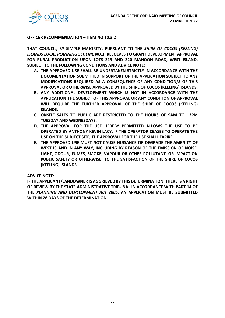

#### **OFFICER RECOMMENDATION – ITEM NO 10.3.2**

**THAT COUNCIL, BY SIMPLE MAJORITY, PURSUANT TO THE** *SHIRE OF COCOS (KEELING) ISLANDS LOCAL PLANNING SCHEME NO.1***, RESOLVES TO GRANT DEVELOPMENT APPROVAL FOR RURAL PRODUCTION UPON LOTS 219 AND 220 MAHOON ROAD, WEST ISLAND, SUBJECT TO THE FOLLOWING CONDITIONS AND ADVICE NOTE:** 

- **A. THE APPROVED USE SHALL BE UNDERTAKEN STRICTLY IN ACCORDANCE WITH THE DOCUMENTATION SUBMITTED IN SUPPORT OF THE APPLICATION SUBJECT TO ANY MODIFICATIONS REQUIRED AS A CONSEQUENCE OF ANY CONDITION/S OF THIS APPROVAL OR OTHERWISE APPROVED BY THE SHIRE OF COCOS (KEELING) ISLANDS.**
- **B. ANY ADDITIONAL DEVELOPMENT WHICH IS NOT IN ACCORDANCE WITH THE APPLICATION THE SUBJECT OF THIS APPROVAL OR ANY CONDITION OF APPROVAL WILL REQUIRE THE FURTHER APPROVAL OF THE SHIRE OF COCOS (KEELING) ISLANDS.**
- **C. ONSITE SALES TO PUBLIC ARE RESTRICTED TO THE HOURS OF 9AM TO 12PM TUESDAY AND WEDNESDAYS.**
- **D. THE APPROVAL FOR THE USE HEREBY PERMITTED ALLOWS THE USE TO BE OPERATED BY ANTHONY KEVIN LACY. IF THE OPERATOR CEASES TO OPERATE THE USE ON THE SUBJECT SITE, THE APPROVAL FOR THE USE SHALL EXPIRE.**
- **E. THE APPROVED USE MUST NOT CAUSE NUISANCE OR DEGRADE THE AMENITY OF WEST ISLAND IN ANY WAY, INCLUDING BY REASON OF THE EMISSION OF NOISE, LIGHT, ODOUR, FUMES, SMOKE, VAPOUR OR OTHER POLLUTANT, OR IMPACT ON PUBLIC SAFETY OR OTHERWISE; TO THE SATISFACTION OF THE SHIRE OF COCOS (KEELING) ISLANDS.**

#### **ADVICE NOTE:**

**IF THE APPLICANT/LANDOWNER IS AGGRIEVED BY THIS DETERMINATION, THERE IS A RIGHT OF REVIEW BY THE STATE ADMINISTRATIVE TRIBUNAL IN ACCORDANCE WITH PART 14 OF THE** *PLANNING AND DEVELOPMENT ACT 2005***. AN APPLICATION MUST BE SUBMITTED WITHIN 28 DAYS OF THE DETERMINATION.**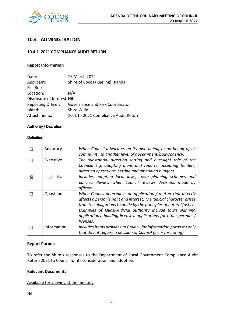

## **10.4 ADMINISTRATION**

#### **10.4.1 2021 COMPLIANCE AUDIT RETURN**

#### **Report Information**

| 16 March 2022                         |
|---------------------------------------|
| Shire of Cocos (Keeling) Islands      |
|                                       |
| N/A                                   |
| Disclosure of Interest: Nil           |
| Governance and Risk Coordinator       |
| Shire Wide                            |
| 10.4.1 - 2021 Compliance Audit Return |
|                                       |

#### **Authority / Discretion**

#### **Definition**

|   | Advocacy       | When Council advocates on its own behalf or on behalf of its         |
|---|----------------|----------------------------------------------------------------------|
|   |                | community to another level of government/body/agency.                |
|   | Executive      | The substantial direction setting and oversight role of the          |
|   |                | Council. E.g. adopting plans and reports, accepting tenders,         |
|   |                | directing operations, setting and amending budgets.                  |
| 冈 | Legislative    | Includes adopting local laws, town planning schemes and              |
|   |                | policies. Review when Council reviews decisions made by              |
|   |                | officers.                                                            |
|   | Quasi-Judicial | When Council determines an application / matter that directly        |
|   |                | affects a person's right and interest. The judicial character arises |
|   |                | from the obligations to abide by the principles of natural justice.  |
|   |                | Examples of Quasi-Judicial authority include town planning           |
|   |                | applications, building licenses, applications for other permits /    |
|   |                | licenses.                                                            |
|   | Information    | Includes items provides to Council for information purposes only     |
|   |                | that do not require a decision of Council (i.e. $-$ for noting).     |

#### **Report Purpose**

To refer the Shire's responses to the Department of Local Government Compliance Audit Return 2021 to Council for its consideration and adoption.

#### **Relevant Documents**

Available for viewing at the meeting

Nil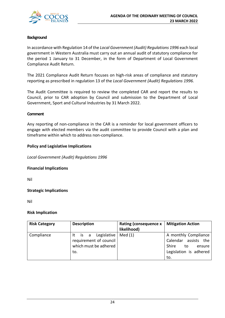

#### **Background**

In accordance with Regulation 14 of the *Local Government (Audit) Regulations 1996* each local government in Western Australia must carry out an annual audit of statutory compliance for the period 1 January to 31 December, in the form of Department of Local Government Compliance Audit Return.

The 2021 Compliance Audit Return focuses on high-risk areas of compliance and statutory reporting as prescribed in regulation 13 of the *Local Government (Audit) Regulations 1996.*

The Audit Committee is required to review the completed CAR and report the results to Council, prior to CAR adoption by Council and submission to the Department of Local Government, Sport and Cultural Industries by 31 March 2022.

#### **Comment**

Any reporting of non-compliance in the CAR is a reminder for local government officers to engage with elected members via the audit committee to provide Council with a plan and timeframe within which to address non-compliance.

#### **Policy and Legislative Implications**

*Local Government (Audit) Regulations 1996*

#### **Financial Implications**

Nil

#### **Strategic Implications**

Nil

#### **Risk Implication**

| <b>Risk Category</b> | <b>Description</b>                                                                | Rating (consequence x<br>likelihood) | <b>Mitigation Action</b>                                                                               |
|----------------------|-----------------------------------------------------------------------------------|--------------------------------------|--------------------------------------------------------------------------------------------------------|
| Compliance           | is a Legislative<br>It.<br>requirement of council<br>which must be adhered<br>to. | Med(1)                               | A monthly Compliance<br>Calendar assists the<br>Shire<br>to<br>ensure<br>Legislation is adhered<br>to. |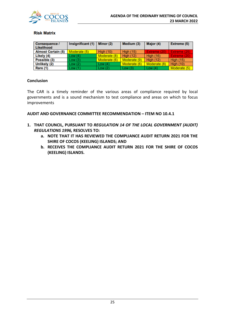

#### **Risk Matrix**

| <b>Consequence /</b><br>Likelihood | Insignificant (1) | Minor (2)    | Medium (3)       | Major (4)        | Extreme (5)      |
|------------------------------------|-------------------|--------------|------------------|------------------|------------------|
| <b>Almost Certain (5)</b>          | Moderate (5)      | High $(10)$  | <b>High (15)</b> | Extreme (20)     | Extreme (25)     |
| Likely (4)                         | Low(4)            | Moderate (8) | <b>High (12)</b> | <b>High (16)</b> | Extreme (20)     |
| Possible (3)                       | Low(3)            | Moderate (6) | Moderate (9)     | <b>High (12)</b> | <b>High (15)</b> |
| Unlikely (2)                       | Low(2)            | Low(4)       | Moderate (6)     | Moderate (8)     | <b>High (10)</b> |
| Rare (1)                           | Low(1)            | Low $(2)$    | Low(3)           | Low $(4)$        | Moderate (5)     |

#### **Conclusion**

The CAR is a timely reminder of the various areas of compliance required by local governments and is a sound mechanism to test compliance and areas on which to focus improvements

**AUDIT AND GOVERNANCE COMMITTEE RECOMMENDATION – ITEM NO 10.4.1**

- **1. THAT COUNCIL, PURSUANT TO** *REGULATION 14 OF THE LOCAL GOVERNMENT (AUDIT) REGULATIONS 1996,* **RESOLVES TO:**
	- **a. NOTE THAT IT HAS REVIEWED THE COMPLIANCE AUDIT RETURN 2021 FOR THE SHIRE OF COCOS (KEELING) ISLANDS; AND**
	- **b. RECEIVES THE COMPLIANCE AUDIT RETURN 2021 FOR THE SHIRE OF COCOS (KEELING) ISLANDS.**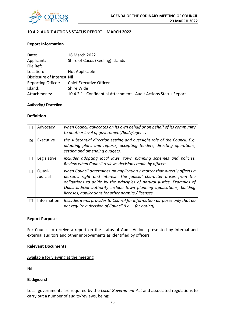

#### **10.4.2 AUDIT ACTIONS STATUS REPORT – MARCH 2022**

#### **Report Information**

| Date:                       | 16 March 2022                                                    |
|-----------------------------|------------------------------------------------------------------|
| Applicant:                  | Shire of Cocos (Keeling) Islands                                 |
| File Ref:                   |                                                                  |
| Location:                   | Not Applicable                                                   |
| Disclosure of Interest: Nil |                                                                  |
| <b>Reporting Officer:</b>   | <b>Chief Executive Officer</b>                                   |
| Island:                     | Shire Wide                                                       |
| Attachments:                | 10.4.2.1 - Confidential Attachment - Audit Actions Status Report |

#### **Authority / Discretion**

#### **Definition**

|   | Advocacy           | when Council advocates on its own behalf or on behalf of its community<br>to another level of government/body/agency.                                                                                                                                                                                                                                     |
|---|--------------------|-----------------------------------------------------------------------------------------------------------------------------------------------------------------------------------------------------------------------------------------------------------------------------------------------------------------------------------------------------------|
| 冈 | Executive          | the substantial direction setting and oversight role of the Council. E.g.<br>adopting plans and reports, accepting tenders, directing operations,<br>setting and amending budgets.                                                                                                                                                                        |
|   | Legislative        | includes adopting local laws, town planning schemes and policies.<br>Review when Council reviews decisions made by officers.                                                                                                                                                                                                                              |
|   | Quasi-<br>Judicial | when Council determines an application / matter that directly affects a<br>person's right and interest. The judicial character arises from the<br>obligations to abide by the principles of natural justice. Examples of<br>Quasi-Judicial authority include town planning applications, building<br>licenses, applications for other permits / licenses. |
|   | Information        | Includes items provides to Council for information purposes only that do<br>not require a decision of Council (i.e. $-$ for noting).                                                                                                                                                                                                                      |

#### **Report Purpose**

For Council to receive a report on the status of Audit Actions presented by internal and external auditors and other improvements as identified by officers.

#### **Relevant Documents**

Available for viewing at the meeting

Nil

#### **Background**

Local governments are required by the *Local Government Act* and associated regulations to carry out a number of audits/reviews, being: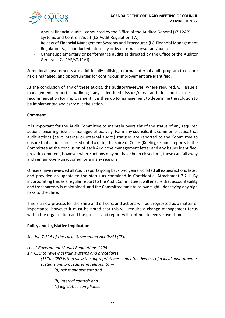

- Annual financial audit conducted by the Office of the Auditor General (s7.12AB)
- Systems and Controls Audit (LG Audit Regulation 17.)
- Review of Financial Management Systems and Procedures (LG Financial Management Regulation 5.) – conducted internally or by external consultant/auditor
- Other supplementary or performance audits as directed by the Office of the Auditor General (s7.12AF/s7.12AJ)

Some local governments are additionally utilising a formal internal audit program to ensure risk is managed, and opportunities for continuous improvement are identified.

At the conclusion of any of these audits, the auditor/reviewer, where required, will issue a management report, outlining any identified issues/risks and in most cases a recommendation for improvement. It is then up to management to determine the solution to be implemented and carry out the action.

#### **Comment**

It is important for the Audit Committee to maintain oversight of the status of any required actions, ensuring risks are managed effectively. For many councils, it is common practice that audit actions (be it internal or external audits) statuses are reported to the Committee to ensure that actions are closed out. To date, the Shire of Cocos (Keeling) Islands reports to the Committee at the conclusion of each Audit the management letter and any issues identified, provide comment, however where actions may not have been closed out, these can fall away and remain open/unactioned for a many reasons.

Officers have reviewed all Audit reports going back two years, collated all issues/actions listed and provided an update to the status as contained in Confidential Attachment 7.2.1. By incorporating this as a regular report to the Audit Committee it will ensure that accountability and transparency is maintained, and the Committee maintains oversight, identifying any high risks to the Shire.

This is a new process for the Shire and officers, and actions will be progressed as a matter of importance, however it must be noted that this will require a change management focus within the organisation and the process and report will continue to evolve over time.

#### **Policy and Legislative Implications**

#### *Section 7.12A of the Local Government Act (WA) (CKI)*

*Local Government (Audit) Regulations 1996 17. CEO to review certain systems and procedures (1) The CEO is to review the appropriateness and effectiveness of a local government's systems and procedures in relation to — (a) risk management; and* 

> *(b) internal control; and (c) legislative compliance.*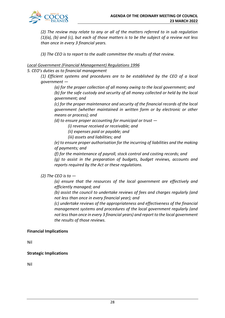

*(2) The review may relate to any or all of the matters referred to in sub regulation (1)(a), (b) and (c), but each of those matters is to be the subject of a review not less than once in every 3 financial years.*

*(3) The CEO is to report to the audit committee the results of that review.*

#### *Local Government (Financial Management) Regulations 1996*

*5. CEO's duties as to financial management* 

*(1) Efficient systems and procedures are to be established by the CEO of a local government —*

*(a) for the proper collection of all money owing to the local government; and (b) for the safe custody and security of all money collected or held by the local government; and* 

*(c) for the proper maintenance and security of the financial records of the local government (whether maintained in written form or by electronic or other means or process); and* 

*(d) to ensure proper accounting for municipal or trust —*

*(i) revenue received or receivable; and* 

*(ii) expenses paid or payable; and* 

*(iii) assets and liabilities; and* 

*(e) to ensure proper authorisation for the incurring of liabilities and the making of payments; and* 

*(f) for the maintenance of payroll, stock control and costing records; and* 

*(g) to assist in the preparation of budgets, budget reviews, accounts and reports required by the Act or these regulations.*

*(2) The CEO is to —*

*(a) ensure that the resources of the local government are effectively and efficiently managed; and* 

*(b) assist the council to undertake reviews of fees and charges regularly (and not less than once in every financial year); and* 

*(c) undertake reviews of the appropriateness and effectiveness of the financial management systems and procedures of the local government regularly (and not less than once in every 3 financial years) and report to the local government the results of those reviews.*

#### **Financial Implications**

Nil

#### **Strategic Implications**

Nil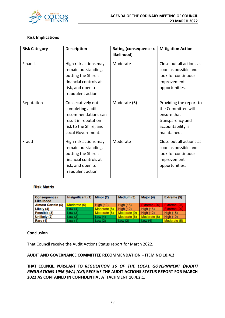

#### **Risk Implications**

| <b>Risk Category</b> | <b>Description</b>                                                                                                                      | <b>Rating (consequence x</b><br>likelihood) | <b>Mitigation Action</b>                                                                                             |
|----------------------|-----------------------------------------------------------------------------------------------------------------------------------------|---------------------------------------------|----------------------------------------------------------------------------------------------------------------------|
| Financial            | High risk actions may<br>remain outstanding,<br>putting the Shire's<br>financial controls at<br>risk, and open to<br>fraudulent action. | Moderate                                    | Close out all actions as<br>soon as possible and<br>look for continuous<br>improvement<br>opportunities.             |
| Reputation           | Consecutively not<br>completing audit<br>recommendations can<br>result in reputation<br>risk to the Shire, and<br>Local Government.     | Moderate (6)                                | Providing the report to<br>the Committee will<br>ensure that<br>transparency and<br>accountability is<br>maintained. |
| Fraud                | High risk actions may<br>remain outstanding,<br>putting the Shire's<br>financial controls at<br>risk, and open to<br>fraudulent action. | Moderate                                    | Close out all actions as<br>soon as possible and<br>look for continuous<br>improvement<br>opportunities.             |

#### **Risk Matrix**

| <b>Consequence /</b><br>Likelihood | Insignificant (1) | Minor $(2)$      | Medium (3)       | Major (4)        | Extreme (5)      |
|------------------------------------|-------------------|------------------|------------------|------------------|------------------|
| <b>Almost Certain (5)</b>          | Moderate (5)      | <b>High (10)</b> | <b>High (15)</b> | Extreme (20)     | Extreme (25)     |
| Likely (4)                         | Low(4)            | Moderate (8)     | <b>High (12)</b> | <b>High (16)</b> | Extreme (20)     |
| Possible (3)                       | Low(3)            | Moderate (6)     | Moderate (9)     | High $(12)$      | <b>High (15)</b> |
| Unlikely (2)                       | Low(2)            | Low $(4)$        | Moderate (6)     | Moderate (8)     | <b>High (10)</b> |
| Rare (1)                           | Low (1)           | Low(2)           | Low(3)           | Low $(4)$        | Moderate (5)     |

#### **Conclusion**

That Council receive the Audit Actions Status report for March 2022.

#### **AUDIT AND GOVERNANCE COMMITTEE RECOMMENDATION – ITEM NO 10.4.2**

**THAT COUNCIL, PURSUANT TO** *REGULATION 16 OF THE LOCAL GOVERNMENT (AUDIT) REGULATIONS 1996 (WA) (CKI)* **RECEIVE THE AUDIT ACTIONS STATUS REPORT FOR MARCH 2022 AS CONTAINED IN CONFIDENTIAL ATTACHMENT 10.4.2.1.**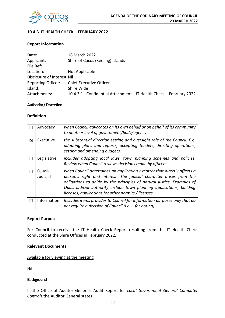

#### **10.4.3 IT HEALTH CHECK – FEBRUARY 2022**

#### **Report Information**

| Date:                       | 16 March 2022                                                        |
|-----------------------------|----------------------------------------------------------------------|
| Applicant:                  | Shire of Cocos (Keeling) Islands                                     |
| File Ref:                   |                                                                      |
| Location:                   | Not Applicable                                                       |
| Disclosure of Interest: Nil |                                                                      |
| <b>Reporting Officer:</b>   | <b>Chief Executive Officer</b>                                       |
| Island:                     | Shire Wide                                                           |
| Attachments:                | 10.4.3.1 - Confidential Attachment - IT Health Check - February 2022 |

#### **Authority / Discretion**

#### **Definition**

|   | Advocacy           | when Council advocates on its own behalf or on behalf of its community<br>to another level of government/body/agency.                                                                                                                                                                                                                                     |
|---|--------------------|-----------------------------------------------------------------------------------------------------------------------------------------------------------------------------------------------------------------------------------------------------------------------------------------------------------------------------------------------------------|
| 冈 | Executive          | the substantial direction setting and oversight role of the Council. E.g.<br>adopting plans and reports, accepting tenders, directing operations,<br>setting and amending budgets.                                                                                                                                                                        |
|   | Legislative        | includes adopting local laws, town planning schemes and policies.<br>Review when Council reviews decisions made by officers.                                                                                                                                                                                                                              |
|   | Quasi-<br>Judicial | when Council determines an application / matter that directly affects a<br>person's right and interest. The judicial character arises from the<br>obligations to abide by the principles of natural justice. Examples of<br>Quasi-Judicial authority include town planning applications, building<br>licenses, applications for other permits / licenses. |
|   | Information        | Includes items provides to Council for information purposes only that do<br>not require a decision of Council (i.e. – for noting).                                                                                                                                                                                                                        |

#### **Report Purpose**

For Council to receive the IT Health Check Report resulting from the IT Health Check conducted at the Shire Offices in February 2022.

#### **Relevant Documents**

Available for viewing at the meeting

Nil

#### **Background**

In the Office of Auditor Generals Audit Report for *Local Government General Computer Controls* the Auditor General states: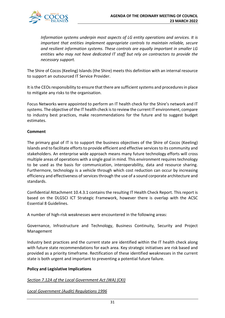

*Information systems underpin most aspects of LG entity operations and services. It is important that entities implement appropriate controls to maintain reliable, secure and resilient information systems. These controls are equally important in smaller LG entities who may not have dedicated IT staff but rely on contractors to provide the necessary support.*

The Shire of Cocos (Keeling) Islands (the Shire) meets this definition with an internal resource to support an outsourced IT Service Provider.

It is the CEOs responsibility to ensure that there are sufficient systems and procedures in place to mitigate any risks to the organisation.

Focus Networks were appointed to perform an IT health check for the Shire's network and IT systems. The objective of the IT health check is to review the current IT environment, compare to industry best practices, make recommendations for the future and to suggest budget estimates.

#### **Comment**

The primary goal of IT is to support the business objectives of the Shire of Cocos (Keeling) Islands and to facilitate efforts to provide efficient and effective services to its community and stakeholders. An enterprise wide approach means many future technology efforts will cross multiple areas of operations with a single goal in mind. This environment requires technology to be used as the basis for communication, interoperability, data and resource sharing. Furthermore, technology is a vehicle through which cost reduction can occur by increasing efficiency and effectiveness of services through the use of a sound corporate architecture and standards.

Confidential Attachment 10.4.3.1 contains the resulting IT Health Check Report. This report is based on the DLGSCI ICT Strategic Framework, however there is overlap with the ACSC Essential 8 Guidelines.

A number of high-risk weaknesses were encountered in the following areas:

Governance, Infrastructure and Technology, Business Continuity, Security and Project Management

Industry best practices and the current state are identified within the IT health check along with future state recommendations for each area. Key strategic initiatives are risk based and provided as a priority timeframe. Rectification of these identified weaknesses in the current state is both urgent and important to preventing a potential future failure.

#### **Policy and Legislative Implications**

#### *Section 7.12A of the Local Government Act (WA) (CKI)*

*Local Government (Audit) Regulations 1996*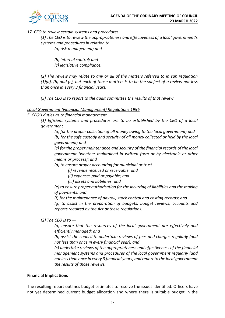*17. CEO to review certain systems and procedures* 

*(1) The CEO is to review the appropriateness and effectiveness of a local government's systems and procedures in relation to —*

*(a) risk management; and* 

*(b) internal control; and* 

*(c) legislative compliance.* 

*(2) The review may relate to any or all of the matters referred to in sub regulation (1)(a), (b) and (c), but each of those matters is to be the subject of a review not less than once in every 3 financial years.*

*(3) The CEO is to report to the audit committee the results of that review.*

#### *Local Government (Financial Management) Regulations 1996*

*5. CEO's duties as to financial management* 

*(1) Efficient systems and procedures are to be established by the CEO of a local government —*

*(a) for the proper collection of all money owing to the local government; and (b) for the safe custody and security of all money collected or held by the local government; and* 

*(c) for the proper maintenance and security of the financial records of the local government (whether maintained in written form or by electronic or other means or process); and* 

*(d) to ensure proper accounting for municipal or trust —*

*(i) revenue received or receivable; and* 

*(ii) expenses paid or payable; and* 

*(iii) assets and liabilities; and* 

*(e) to ensure proper authorisation for the incurring of liabilities and the making of payments; and* 

*(f) for the maintenance of payroll, stock control and costing records; and* 

*(g) to assist in the preparation of budgets, budget reviews, accounts and reports required by the Act or these regulations.*

*(2) The CEO is to —*

*(a) ensure that the resources of the local government are effectively and efficiently managed; and* 

*(b) assist the council to undertake reviews of fees and charges regularly (and not less than once in every financial year); and* 

*(c) undertake reviews of the appropriateness and effectiveness of the financial management systems and procedures of the local government regularly (and not less than once in every 3 financial years) and report to the local government the results of those reviews.*

#### **Financial Implications**

The resulting report outlines budget estimates to resolve the issues identified. Officers have not yet determined current budget allocation and where there is suitable budget in the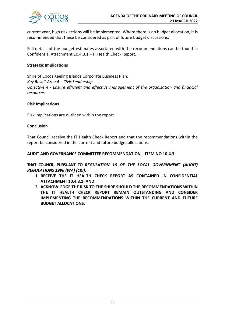

current year, high risk actions will be implemented. Where there is no budget allocation, it is recommended that these be considered as part of future budget discussions.

Full details of the budget estimates associated with the recommendations can be found in Confidential Attachment 10.4.3.1 – IT Health Check Report.

#### **Strategic Implications**

Shire of Cocos Keeling Islands Corporate Business Plan: *Key Result Area 4 – Civic Leadership Objective 4 - Ensure efficient and effective management of the organization and financial resources*

#### **Risk Implications**

Risk implications are outlined within the report.

#### **Conclusion**

That Council receive the IT Health Check Report and that the recommendations within the report be considered in the current and future budget allocations.

#### **AUDIT AND GOVERNANCE COMMITTEE RECOMMENDATION – ITEM NO 10.4.3**

**THAT COUNCIL, PURSUANT TO** *REGULATION 16 OF THE LOCAL GOVERNMENT (AUDIT) REGULATIONS 1996 (WA) (CKI)***:**

- **1. RECEIVE THE IT HEALTH CHECK REPORT AS CONTAINED IN CONFIDENTIAL ATTACHMENT 10.4.3.1; AND**
- **2. ACKNOWLEDGE THE RISK TO THE SHIRE SHOULD THE RECOMMENDATIONS WITHIN THE IT HEALTH CHECK REPORT REMAIN OUTSTANDING AND CONSIDER IMPLEMENTING THE RECOMMENDATIONS WITHIN THE CURRENT AND FUTURE BUDGET ALLOCATIONS.**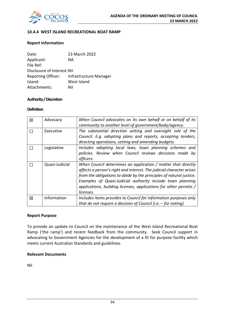

#### **10.4.4 WEST ISLAND RECREATIONAL BOAT RAMP**

#### **Report Information**

| 23 March 2022                             |
|-------------------------------------------|
| NА                                        |
|                                           |
| Disclosure of Interest: Nil               |
| Reporting Officer: Infrastructure Manager |
| West Island                               |
| Nil                                       |
|                                           |

#### **Authority / Discretion**

#### **Definition**

| 冈 | Advocacy       | When Council advocates on its own behalf or on behalf of its<br>community to another level of government/body/agency.                                                                                                                                                                                                                                        |
|---|----------------|--------------------------------------------------------------------------------------------------------------------------------------------------------------------------------------------------------------------------------------------------------------------------------------------------------------------------------------------------------------|
|   | Executive      | The substantial direction setting and oversight role of the<br>Council. E.g. adopting plans and reports, accepting tenders,<br>directing operations, setting and amending budgets.                                                                                                                                                                           |
|   | Legislative    | Includes adopting local laws, town planning schemes and<br>policies. Review when Council reviews decisions made by<br>officers.                                                                                                                                                                                                                              |
|   | Quasi-Judicial | When Council determines an application / matter that directly<br>affects a person's right and interest. The judicial character arises<br>from the obligations to abide by the principles of natural justice.<br>Examples of Quasi-Judicial authority include town planning<br>applications, building licenses, applications for other permits /<br>licenses. |
| 区 | Information    | Includes items provides to Council for information purposes only<br>that do not require a decision of Council (i.e. $-$ for noting).                                                                                                                                                                                                                         |

#### **Report Purpose**

To provide an update to Council on the maintenance of the West Island Recreational Boat Ramp ('the ramp') and recent feedback from the community. Seek Council support in advocating to Government Agencies for the development of a fit for purpose facility which meets current Australian Standards and guidelines.

#### **Relevant Documents**

Nil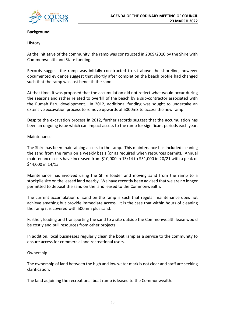

#### **Background**

#### History

At the initiative of the community, the ramp was constructed in 2009/2010 by the Shire with Commonwealth and State funding.

Records suggest the ramp was initially constructed to sit above the shoreline, however documented evidence suggest that shortly after completion the beach profile had changed such that the ramp was lost beneath the sand.

At that time, it was proposed that the accumulation did not reflect what would occur during the seasons and rather related to overfill of the beach by a sub-contractor associated with the Rumah Baru development. In 2012, additional funding was sought to undertake an extensive excavation process to remove upwards of 5000m3 to access the new ramp.

Despite the excavation process in 2012, further records suggest that the accumulation has been an ongoing issue which can impact access to the ramp for significant periods each year.

#### Maintenance

The Shire has been maintaining access to the ramp. This maintenance has included cleaning the sand from the ramp on a weekly basis (or as required when resources permit). Annual maintenance costs have increased from \$10,000 in 13/14 to \$31,000 in 20/21 with a peak of \$44,000 in 14/15.

Maintenance has involved using the Shire loader and moving sand from the ramp to a stockpile site on the leased land nearby. We have recently been advised that we are no longer permitted to deposit the sand on the land leased to the Commonwealth.

The current accumulation of sand on the ramp is such that regular maintenance does not achieve anything but provide immediate access. It is the case that within hours of cleaning the ramp it is covered with 500mm plus sand.

Further, loading and transporting the sand to a site outside the Commonwealth lease would be costly and pull resources from other projects.

In addition, local businesses regularly clean the boat ramp as a service to the community to ensure access for commercial and recreational users.

#### Ownership

The ownership of land between the high and low water mark is not clear and staff are seeking clarification.

The land adjoining the recreational boat ramp is leased to the Commonwealth.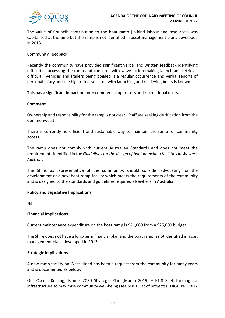

The value of Councils contribution to the boat ramp (in-kind labour and resources) was capitalised at the time but the ramp is not identified in asset management plans developed in 2013.

#### Community Feedback

Recently the community have provided significant verbal and written feedback identifying difficulties accessing the ramp and concerns with wave action making launch and retrieval difficult. Vehicles and trailers being bogged is a regular occurrence and verbal reports of personal injury and the high risk associated with launching and retrieving boats is known.

This has a significant impact on both commercial operators and recreational users.

#### **Comment**

Ownership and responsibility for the ramp is not clear. Staff are seeking clarification from the Commonwealth.

There is currently no efficient and sustainable way to maintain the ramp for community access.

The ramp does not comply with current Australian Standards and does not meet the requirements identified in the *Guidelines for the design of boat launching facilities in Western Australia.*

The Shire, as representative of the community, should consider advocating for the development of a new boat ramp facility which meets the requirements of the community and is designed to the standards and guidelines required elsewhere in Australia.

#### **Policy and Legislative Implications**

Nil

#### **Financial Implications**

Current maintenance expenditure on the boat ramp is \$21,000 from a \$25,000 budget.

The Shire does not have a long-term financial plan and the boat ramp is not identified in asset management plans developed in 2013.

#### **Strategic Implications**

A new ramp facility on West Island has been a request from the community for many years and is documented as below:

Our Cocos (Keeling) Islands 2030 Strategic Plan (March 2019) – E1.8 Seek funding for infrastructure to maximise community well-being (see SOCKI list of projects). HIGH PRIORITY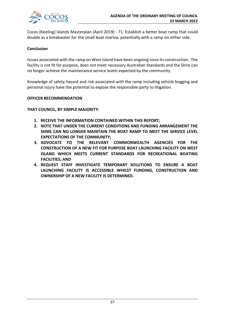

Cocos (Keeling) Islands Masterplan (April 2019) - 71. Establish a better boat ramp that could double as a breakwater for the small boat marina, potentially with a ramp on either side.

#### **Conclusion**

Issues associated with the ramp on West Island have been ongoing since its construction. The facility is not fit for purpose, does not meet necessary Australian Standards and the Shire can no longer achieve the maintenance service levels expected by the community.

Knowledge of safety hazard and risk associated with the ramp including vehicle bogging and personal injury have the potential to expose the responsible party to litigation.

#### **OFFICER RECOMMENDATION**

**THAT COUNCIL, BY SIMPLE MAJORITY:**

- **1. RECEIVE THE INFORMATION CONTAINED WITHIN THIS REPORT;**
- **2. NOTE THAT UNDER THE CURRENT CONDITIONS AND FUNDING ARRANGEMENT THE SHIRE CAN NO LONGER MAINTAIN THE BOAT RAMP TO MEET THE SERVICE LEVEL EXPECTATIONS OF THE COMMUNITY;**
- **3. ADVOCATE TO THE RELEVANT COMMONWEALTH AGENCIES FOR THE CONSTRUCTION OF A NEW FIT FOR PURPOSE BOAT LAUNCHING FACILITY ON WEST ISLAND WHICH MEETS CURRENT STANDARDS FOR RECREATIONAL BOATING FACILITIES; AND**
- **4. REQUEST STAFF INVESTIGATE TEMPORARY SOLUTIONS TO ENSURE A BOAT LAUNCHING FACILITY IS ACCESSIBLE WHILST FUNDING, CONSTRUCTION AND OWNERSHIP OF A NEW FACILITY IS DETERMINED.**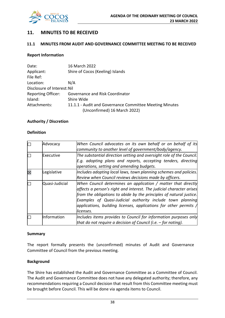

## **11. MINUTES TO BE RECEIVED**

#### **11.1 MINUTES FROM AUDIT AND GOVERNANCE COMMITTEE MEETING TO BE RECEIVED**

#### **Report Information**

| Date:                       | 16 March 2022                                           |  |
|-----------------------------|---------------------------------------------------------|--|
| Applicant:                  | Shire of Cocos (Keeling) Islands                        |  |
| File Ref:                   |                                                         |  |
| Location:                   | N/A                                                     |  |
| Disclosure of Interest: Nil |                                                         |  |
| <b>Reporting Officer:</b>   | Governance and Risk Coordinator                         |  |
| Island:                     | Shire Wide                                              |  |
| Attachments:                | 11.1.1 - Audit and Governance Committee Meeting Minutes |  |
|                             | (Unconfirmed) 16 March 2022)                            |  |

#### **Authority / Discretion**

#### **Definition**

| ℾ | Advocacy       | When Council advocates on its own behalf or on behalf of its              |
|---|----------------|---------------------------------------------------------------------------|
|   |                | community to another level of government/body/agency.                     |
| ╓ | Executive      | The substantial direction setting and oversight role of the Council.      |
|   |                | E.g. adopting plans and reports, accepting tenders, directing             |
|   |                | operations, setting and amending budgets.                                 |
| 区 | Legislative    | Includes adopting local laws, town planning schemes and policies.         |
|   |                | Review when Council reviews decisions made by officers.                   |
|   | Quasi-Judicial | When Council determines an application / matter that directly             |
|   |                | affects a person's right and interest. The judicial character arises      |
|   |                | from the obligations to abide by the principles of natural justice.       |
|   |                | Examples of Quasi-Judicial authority include town planning                |
|   |                | applications, building licenses, applications for other permits $\Lambda$ |
|   |                | licenses.                                                                 |
|   | Information    | Includes items provides to Council for information purposes only          |
|   |                | that do not require a decision of Council (i.e. $-$ for noting).          |

#### **Summary**

The report formally presents the (unconfirmed) minutes of Audit and Governance Committee of Council from the previous meeting.

#### **Background**

The Shire has established the Audit and Governance Committee as a Committee of Council. The Audit and Governance Committee does not have any delegated authority; therefore, any recommendations requiring a Council decision that result from this Committee meeting must be brought before Council. This will be done via agenda items to Council.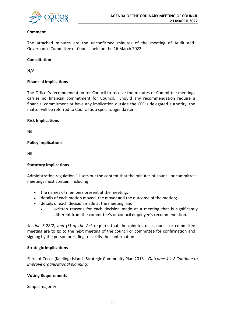

#### **Comment**

The attached minutes are the unconfirmed minutes of the meeting of Audit and Governance Committee of Council held on the 16 March 2022.

#### **Consultation**

N/A

#### **Financial Implications**

The Officer's recommendation for Council to receive the minutes of Committee meetings carries no financial commitment for Council. Should any recommendation require a financial commitment or have any implication outside the CEO's delegated authority, the matter will be referred to Council as a specific agenda item.

#### **Risk Implications**

Nil

#### **Policy Implications**

Nil

#### **Statutory Implications**

Administration regulation 11 sets out the content that the minutes of council or committee meetings must contain, including:

- the names of members present at the meeting;
- details of each motion moved, the mover and the outcome of the motion;
- details of each decision made at the meeting; and
	- written reasons for each decision made at a meeting that is significantly different from the committee's or council employee's recommendation.

*Section 5.22(2) and (3) of the Act* requires that the minutes of a council or committee meeting are to go to the next meeting of the council or committee for confirmation and signing by the person presiding to certify the confirmation.

#### **Strategic Implications**

Shire of Cocos (Keeling) Islands Strategic Community Plan 2013 *– Outcome 4.1.2 Continue to improve organisational planning.*

#### **Voting Requirements**

Simple majority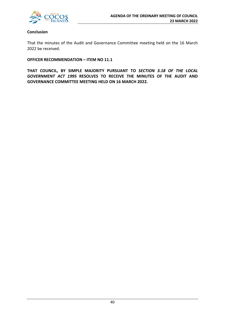

#### **Conclusion**

That the minutes of the Audit and Governance Committee meeting held on the 16 March 2022 be received.

**OFFICER RECOMMENDATION – ITEM NO 11.1**

**THAT COUNCIL, BY SIMPLE MAJORITY PURSUANT TO** *SECTION 3.18 OF THE LOCAL GOVERNMENT ACT 1995* **RESOLVES TO RECEIVE THE MINUTES OF THE AUDIT AND GOVERNANCE COMMITTEE MEETING HELD ON 16 MARCH 2022.**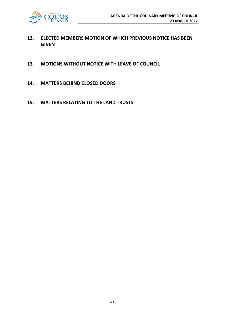

- **12. ELECTED MEMBERS MOTION OF WHICH PREVIOUS NOTICE HAS BEEN GIVEN**
- **13. MOTIONS WITHOUT NOTICE WITH LEAVE OF COUNCIL**
- **14. MATTERS BEHIND CLOSED DOORS**
- **15. MATTERS RELATING TO THE LAND TRUSTS**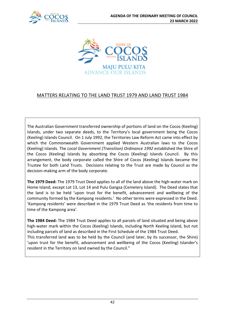



## MATTERS RELATING TO THE LAND TRUST 1979 AND LAND TRUST 1984

The Australian Government transferred ownership of portions of land on the Cocos (Keeling) Islands, under two separate deeds, to the Territory's local government being the Cocos (Keeling) Islands Council. On 1 July 1992, the Territories Law Reform Act came into effect by which the Commonwealth Government applied Western Australian laws to the Cocos (Keeling) Islands. The *Local Government (Transition) Ordinance 1992* established the Shire of the Cocos (Keeling) Islands by absorbing the Cocos (Keeling) Islands Council. By this arrangement, the body corporate called the Shire of Cocos (Keeling) Islands became the Trustee for both Land Trusts. Decisions relating to the Trust are made by Council as the decision-making arm of the body corporate.

**The 1979 Deed:** The 1979 Trust Deed applies to all of the land above the high-water mark on Home Island, except Lot 13, Lot 14 and Pulu Gangsa (Cemetery Island). The Deed states that the land is to be held 'upon trust for the benefit, advancement and wellbeing of the community formed by the Kampong residents.' No other terms were expressed in the Deed. 'Kampong residents' were described in the 1979 Trust Deed as 'the residents from time to time of the Kampong area'.

**The 1984 Deed:** The 1984 Trust Deed applies to all parcels of land situated and being above high-water mark within the Cocos (Keeling) Islands, including North Keeling Island, but not including parcels of land as described in the First Schedule of the 1984 Trust Deed. This transferred land was to be held by the Council (and later, by its successor, the Shire) 'upon trust for the benefit, advancement and wellbeing of the Cocos (Keeling) Islander's resident in the Territory on land owned by the Council."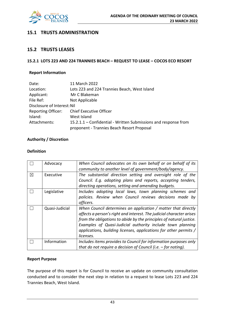

## **15.1 TRUSTS ADMINISTRATION**

## **15.2 TRUSTS LEASES**

#### **15.2.1 LOTS 223 AND 224 TRANNIES BEACH – REQUEST TO LEASE – COCOS ECO RESORT**

#### **Report Information**

| Date:                       | 11 March 2022                                                   |  |  |  |
|-----------------------------|-----------------------------------------------------------------|--|--|--|
| Location:                   | Lots 223 and 224 Trannies Beach, West Island                    |  |  |  |
| Applicant:                  | Mr C Blakeman                                                   |  |  |  |
| File Ref:                   | Not Applicable                                                  |  |  |  |
| Disclosure of Interest: Nil |                                                                 |  |  |  |
| <b>Reporting Officer:</b>   | <b>Chief Executive Officer</b>                                  |  |  |  |
| Island:                     | West Island                                                     |  |  |  |
| Attachments:                | 15.2.1.1 – Confidential - Written Submissions and response from |  |  |  |
|                             | proponent - Trannies Beach Resort Proposal                      |  |  |  |

#### **Authority / Discretion**

#### **Definition**

|             | Advocacy       | When Council advocates on its own behalf or on behalf of its<br>community to another level of government/body/agency. |
|-------------|----------------|-----------------------------------------------------------------------------------------------------------------------|
|             |                |                                                                                                                       |
| $\boxtimes$ | Executive      | The substantial direction setting and oversight role of the                                                           |
|             |                | Council. E.g. adopting plans and reports, accepting tenders,                                                          |
|             |                |                                                                                                                       |
|             |                | directing operations, setting and amending budgets.                                                                   |
|             | Legislative    | Includes adopting local laws, town planning schemes and                                                               |
|             |                | policies. Review when Council reviews decisions made by                                                               |
|             |                | officers.                                                                                                             |
|             |                |                                                                                                                       |
|             | Quasi-Judicial | When Council determines an application / matter that directly                                                         |
|             |                | affects a person's right and interest. The judicial character arises                                                  |
|             |                | from the obligations to abide by the principles of natural justice.                                                   |
|             |                | Examples of Quasi-Judicial authority include town planning                                                            |
|             |                | applications, building licenses, applications for other permits /                                                     |
|             |                | licenses.                                                                                                             |
|             | Information    | Includes items provides to Council for information purposes only                                                      |
|             |                | that do not require a decision of Council (i.e. $-$ for noting).                                                      |

#### **Report Purpose**

The purpose of this report is for Council to receive an update on community consultation conducted and to consider the next step in relation to a request to lease Lots 223 and 224 Trannies Beach, West Island.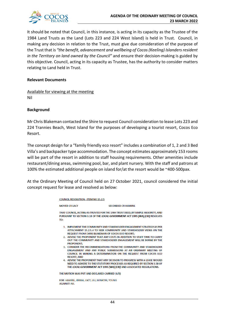

It should be noted that Council, in this instance, is acting in its capacity as the Trustee of the 1984 Land Trusts as the Land (Lots 223 and 224 West Island) is held in Trust. Council, in making any decision in relation to the Trust, must give due consideration of the purpose of the Trust that is *"the benefit, advancement and wellbeing of Cocos (Keeling) Islanders resident in the Territory on land owned by the Council"* and ensure their decision-making is guided by this objective. Council, acting in its capacity as Trustee, has the authority to consider matters relating to Land held in Trust.

#### **Relevant Documents**

Available for viewing at the meeting Nil

#### **Background**

Mr Chris Blakeman contacted the Shire to request Council consideration to lease Lots 223 and 224 Trannies Beach, West Island for the purposes of developing a tourist resort, Cocos Eco Resort.

The concept design for a "family friendly eco resort" includes a combination of 1, 2 and 3 Bed Villa's and backpacker type accommodation. The concept estimates approximately 153 rooms will be part of the resort in addition to staff housing requirements. Other amenities include restaurant/dining areas, swimming pool, bar, and plant nursery. With the staff and patrons at 100% the estimated additional people on island for/at the resort would be ~400-500pax.

At the Ordinary Meeting of Council held on 27 October 2021, council considered the initial concept request for lease and resolved as below:

> **COUNCIL RESOLUTION- ITEM NO 15.2.5 MOVED CR LACY SECONDED CR HAMIRIL** THAT COUNCIL ACTING AS TRUSTEE FOR THE 1984 TRUST DEED. BY SIMPLE MAJORITY, AND PURSUANT TO SECTION 3.18 OF THE LOCAL GOVERNMENT ACT 1995 (WA) (CKI) RESOLVES TO: 1. IMPLEMENT THE COMMUNITY AND STAKEHOLDER ENGAGEMENT STRATEGY AS PER ATTACHMENT 15.2.5.4 TO SEEK COMMUNITY AND STAKEHOLDER VIEWS ON THE REQUEST FROM CHRIS BLAKEMAN OF COCOS ECO RESORT: 2. ADVISE THE PROPONENT THAT ANY COSTS IN ADDITION TO STAFF TIME TO CARRY OUT THE COMMUNITY AND STAKEHOLDER ENGAGEMENT WILL BE BORNE BY THE **PROPONENT:** 3. CONSIDER THE RECOMMENDATIONS FROM THE COMMUNITY AND STAKEHOLDER ENGAGEMENT AND ANY PUBLIC SUBMISSIONS AT AN ORDINARY MEETING OF COUNCIL IN MAKING A DETERMINATION ON THE REQUEST FROM COCOS ECO **RESORT: AND** 4. ADVISE THE PROPONENT THAT ANY DECISION TO PROGRESS WITH A LEASE WOULD NEED TO ADHERE TO THE STATUTORY PROCESSES AS REQUIRED BY SECTION 3.58 OF THE LOCAL GOVERNMENT ACT 1995 (WA) (CKI) AND ASSOCIATED REGULATIONS. THE MOTION WAS PUT AND DECLARED CARRIED (6/0)

FOR: HAMIRIL, IBRAM, LACY, LIU, MINKOM, YOUNG **AGAINST: NIL**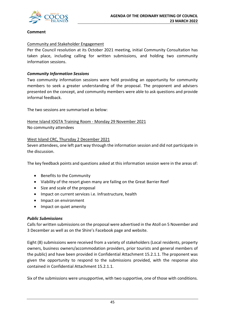

#### **Comment**

#### Community and Stakeholder Engagement

Per the Council resolution at its October 2021 meeting, initial Community Consultation has taken place, including calling for written submissions, and holding two community information sessions.

#### *Community Information Sessions*

Two community information sessions were held providing an opportunity for community members to seek a greater understanding of the proposal. The proponent and advisers presented on the concept, and community members were able to ask questions and provide informal feedback.

The two sessions are summarised as below:

Home Island IOGTA Training Room - Monday 29 November 2021 No community attendees

#### West Island CRC, Thursday 2 December 2021

Seven attendees, one left part way through the information session and did not participate in the discussion.

The key feedback points and questions asked at this information session were in the areas of:

- Benefits to the Community
- Viability of the resort given many are failing on the Great Barrier Reef
- Size and scale of the proposal
- Impact on current services i.e. Infrastructure, health
- Impact on environment
- Impact on quiet amenity

#### *Public Submissions*

Calls for written submissions on the proposal were advertised in the Atoll on 5 November and 3 December as well as on the Shire's Facebook page and website.

Eight (8) submissions were received from a variety of stakeholders (Local residents, property owners, business owners/accommodation providers, prior tourists and general members of the public) and have been provided in Confidential Attachment 15.2.1.1. The proponent was given the opportunity to respond to the submissions provided, with the response also contained in Confidential Attachment 15.2.1.1.

Six of the submissions were unsupportive, with two supportive, one of those with conditions.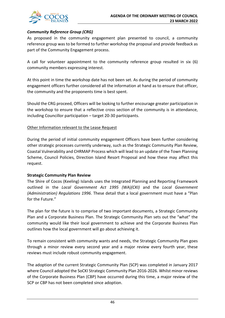

#### *Community Reference Group (CRG)*

As proposed in the community engagement plan presented to council, a community reference group was to be formed to further workshop the proposal and provide feedback as part of the Community Engagement process.

A call for volunteer appointment to the community reference group resulted in six (6) community members expressing interest.

At this point in time the workshop date has not been set. As during the period of community engagement officers further considered all the information at hand as to ensure that officer, the community and the proponents time is best spent.

Should the CRG proceed, Officers will be looking to further encourage greater participation in the workshop to ensure that a reflective cross section of the community is in attendance, including Councillor participation – target 20-30 participants.

#### Other Information relevant to the Lease Request

During the period of initial community engagement Officers have been further considering other strategic processes currently underway, such as the Strategic Community Plan Review, Coastal Vulnerability and CHRMAP Process which will lead to an update of the Town Planning Scheme, Council Policies, Direction Island Resort Proposal and how these may affect this request.

#### **Strategic Community Plan Review**

The Shire of Cocos (Keeling) Islands uses the Integrated Planning and Reporting Framework outlined in the *Local Government Act 1995 (WA)(CKI)* and the *Local Government (Administration) Regulations 1996*. These detail that a local government must have a "Plan for the Future."

The plan for the future is to comprise of two important documents, a Strategic Community Plan and a Corporate Business Plan. The Strategic Community Plan sets out the "what" the community would like their local government to achieve and the Corporate Business Plan outlines how the local government will go about achieving it.

To remain consistent with community wants and needs, the Strategic Community Plan goes through a minor review every second year and a major review every fourth year, these reviews must include robust community engagement.

The adoption of the current Strategic Community Plan (SCP) was completed in January 2017 where Council adopted the SoCKI Strategic Community Plan 2016-2026. Whilst minor reviews of the Corporate Business Plan (CBP) have occurred during this time, a major review of the SCP or CBP has not been completed since adoption.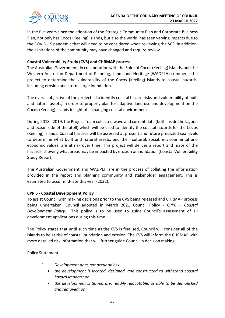

In the five years since the adoption of the Strategic Community Plan and Corporate Business Plan, not only has Cocos (Keeling) Islands, but also the world, has seen varying impacts due to the COVID-19 pandemic that will need to be considered when reviewing the SCP. In addition, the aspirations of the community may have changed and require review.

#### **Coastal Vulnerability Study (CVS) and CHRMAP process**

The Australian Government, in collaboration with the Shire of Cocos (Keeling) Islands, and the Western Australian Department of Planning, Lands and Heritage (WADPLH) commenced a project to determine the vulnerability of the Cocos (Keeling) Islands to coastal hazards, including erosion and storm surge inundation.

The overall objective of the project is to identify coastal hazard risks and vulnerability of built and natural assets, in order to properly plan for adaptive land use and development on the Cocos (Keeling) Islands in light of a changing coastal environment.

During 2018 - 2019, the Project Team collected wave and current data (both inside the lagoon and ocean side of the atoll) which will be used to identify the coastal hazards for the Cocos (Keeling) Islands. Coastal hazards will be assessed at present and future predicted sea levels to determine what built and natural assets, and their cultural, social, environmental and economic values, are at risk over time. This project will deliver a report and maps of the hazards, showing what areas may be impacted by erosion or inundation (Coastal Vulnerability Study Report).

The Australian Government and WADPLH are in the process of collating the information provided in the report and planning community and stakeholder engagement. This is estimated to occur mid-late this year (2022).

#### **CPP 6 - Coastal Development Policy**

To assist Council with making decisions prior to the CVS being released and CHRMAP process being undertaken, Council adopted in March 2021 Council Policy - *CPP6 – Coastal Development Policy*. This policy is to be used to guide Council's assessment of all development applications during this time.

The Policy states that until such time as the CVS is finalised, Council will consider all of the islands to be at risk of coastal inundation and erosion. The CVS will inform the CHRMAP with more detailed risk information that will further guide Council in decision making.

Policy Statement:

- *1. Development does not occur unless:*
	- *the development is located, designed, and constructed to withstand coastal hazard impacts; or*
	- *the development is temporary, readily relocatable, or able to be demolished and removed; or*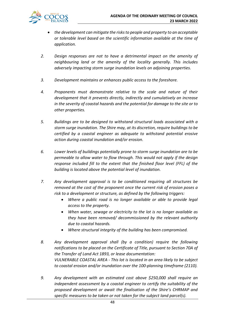- *the development can mitigate the risks to people and property to an acceptable or tolerable level based on the scientific information available at the time of application.*
- *2. Design responses are not to have a detrimental impact on the amenity of neighbouring land or the amenity of the locality generally. This includes adversely impacting storm surge inundation levels on adjoining properties.*
- *3. Development maintains or enhances public access to the foreshore.*
- *4. Proponents must demonstrate relative to the scale and nature of their development that it prevents directly, indirectly and cumulatively an increase in the severity of coastal hazards and the potential for damage to the site or to other properties.*
- *5. Buildings are to be designed to withstand structural loads associated with a storm surge inundation. The Shire may, at its discretion, require buildings to be certified by a coastal engineer as adequate to withstand potential erosive action during coastal inundation and/or erosion.*
- *6. Lower levels of buildings potentially prone to storm surge inundation are to be permeable to allow water to flow through. This would not apply if the design response included fill to the extent that the finished floor level (FFL) of the building is located above the potential level of inundation.*
- *7. Any development approval is to be conditioned requiring all structures be removed at the cost of the proponent once the current risk of erosion poses a risk to a development or structure, as defined by the following triggers:*
	- *Where a public road is no longer available or able to provide legal access to the property.*
	- *When water, sewage or electricity to the lot is no longer available as they have been removed/ decommissioned by the relevant authority due to coastal hazards.*
	- *Where structural integrity of the building has been compromised.*
- *8. Any development approval shall (by a condition) require the following notifications to be placed on the Certificate of Title, pursuant to Section 70A of the Transfer of Land Act 1893, or lease documentation: VULNERABLE COASTAL AREA - This lot is located in an area likely to be subject to coastal erosion and/or inundation over the 100-planning timeframe (2110).*
- *9. Any development with an estimated cost above \$250,000 shall require an independent assessment by a coastal engineer to certify the suitability of the proposed development or await the finalisation of the Shire's CHRMAP and specific measures to be taken or not taken for the subject land parcel(s).*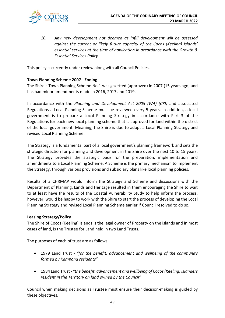

*10. Any new development not deemed as infill development will be assessed against the current or likely future capacity of the Cocos (Keeling) Islands' essential services at the time of application in accordance with the Growth & Essential Services Policy.* 

This policy is currently under review along with all Council Policies.

#### **Town Planning Scheme 2007 - Zoning**

The Shire's Town Planning Scheme No.1 was gazetted (approved) in 2007 (15 years ago) and has had minor amendments made in 2016, 2017 and 2019.

In accordance with the *Planning and Development Act 2005 (WA) (CKI)* and associated Regulations a Local Planning Scheme must be reviewed every 5 years. In addition, a local government is to prepare a Local Planning Strategy in accordance with Part 3 of the Regulations for each new local planning scheme that is approved for land within the district of the local government. Meaning, the Shire is due to adopt a Local Planning Strategy and revised Local Planning Scheme.

The Strategy is a fundamental part of a local government's planning framework and sets the strategic direction for planning and development in the Shire over the next 10 to 15 years. The Strategy provides the strategic basis for the preparation, implementation and amendments to a Local Planning Scheme. A Scheme is the primary mechanism to implement the Strategy, through various provisions and subsidiary plans like local planning policies.

Results of a CHRMAP would inform the Strategy and Scheme and discussions with the Department of Planning, Lands and Heritage resulted in them encouraging the Shire to wait to at least have the results of the Coastal Vulnerability Study to help inform the process, however, would be happy to work with the Shire to start the process of developing the Local Planning Strategy and revised Local Planning Scheme earlier if Council resolved to do so.

#### **Leasing Strategy/Policy**

The Shire of Cocos (Keeling) Islands is the legal owner of Property on the islands and in most cases of land, is the Trustee for Land held in two Land Trusts.

The purposes of each of trust are as follows:

- 1979 Land Trust *"for the benefit, advancement and wellbeing of the community formed by Kampong residents"*
- 1984 Land Trust *"the benefit, advancement and wellbeing of Cocos (Keeling) Islanders resident in the Territory on land owned by the Council"*

Council when making decisions as Trustee must ensure their decision-making is guided by these objectives.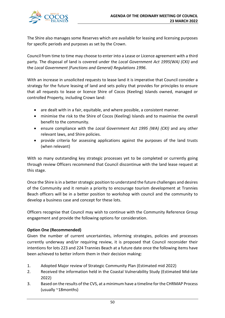

The Shire also manages some Reserves which are available for leasing and licensing purposes for specific periods and purposes as set by the Crown.

Council from time to time may choose to enter into a Lease or Licence agreement with a third party. The disposal of land is covered under the *Local Government Act 1995(WA) (CKI)* and the *Local Government (Functions and General) Regulations 1996*.

With an increase in unsolicited requests to lease land it is imperative that Council consider a strategy for the future leasing of land and sets policy that provides for principles to ensure that all requests to lease or licence Shire of Cocos (Keeling) Islands owned, managed or controlled Property, including Crown land:

- are dealt with in a fair, equitable, and where possible, a consistent manner.
- minimise the risk to the Shire of Cocos (Keeling) Islands and to maximise the overall benefit to the community.
- ensure compliance with the *Local Government Act 1995 (WA) (CKI)* and any other relevant laws, and Shire policies.
- provide criteria for assessing applications against the purposes of the land trusts (when relevant)

With so many outstanding key strategic processes yet to be completed or currently going through review Officers recommend that Council discontinue with the land lease request at this stage.

Once the Shire is in a better strategic position to understand the future challenges and desires of the Community and it remain a priority to encourage tourism development at Trannies Beach officers will be in a better position to workshop with council and the community to develop a business case and concept for these lots.

Officers recognise that Council may wish to continue with the Community Reference Group engagement and provide the following options for consideration.

#### **Option One (Recommended)**

Given the number of current uncertainties, informing strategies, policies and processes currently underway and/or requiring review, it is proposed that Council reconsider their intentions for lots 223 and 224 Trannies Beach at a future date once the following items have been achieved to better inform them in their decision making:

- 1. Adopted Major review of Strategic Community Plan (Estimated mid 2022)
- 2. Received the information held in the Coastal Vulnerability Study (Estimated Mid-late 2022)
- 3. Based on the results of the CVS, at a minimum have a timeline for the CHRMAP Process (usually ~18months)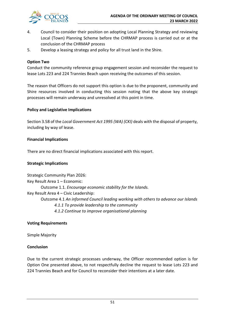

- 4. Council to consider their position on adopting Local Planning Strategy and reviewing Local (Town) Planning Scheme before the CHRMAP process is carried out or at the conclusion of the CHRMAP process
- 5. Develop a leasing strategy and policy for all trust land in the Shire.

#### **Option Two**

Conduct the community reference group engagement session and reconsider the request to lease Lots 223 and 224 Trannies Beach upon receiving the outcomes of this session.

The reason that Officers do not support this option is due to the proponent, community and Shire resources involved in conducting this session noting that the above key strategic processes will remain underway and unresolved at this point in time.

#### **Policy and Legislative Implications**

Section 3.58 of the *Local Government Act 1995 (WA) (CKI)* deals with the disposal of property, including by way of lease.

#### **Financial Implications**

There are no direct financial implications associated with this report.

#### **Strategic Implications**

Strategic Community Plan 2026: Key Result Area 1 – Economic: Outcome 1.1*. Encourage economic stability for the Islands.* Key Result Area 4 – Civic Leadership: Outcome 4.1 *An informed Council leading working with others to advance our Islands 4.1.1 To provide leadership to the community 4.1.2 Continue to improve organisational planning*

#### **Voting Requirements**

Simple Majority

#### **Conclusion**

Due to the current strategic processes underway, the Officer recommended option is for Option One presented above, to not respectfully decline the request to lease Lots 223 and 224 Trannies Beach and for Council to reconsider their intentions at a later date.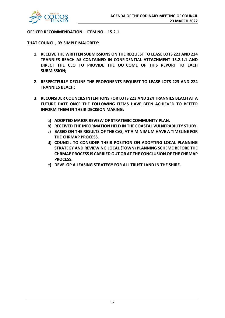

**OFFICER RECOMMENDATION – ITEM NO – 15.2.1**

**THAT COUNCIL, BY SIMPLE MAJORITY:**

- **1. RECEIVE THE WRITTEN SUBMISSIONS ON THE REQUEST TO LEASE LOTS 223 AND 224 TRANNIES BEACH AS CONTAINED IN CONFIDENTIAL ATTACHMENT 15.2.1.1 AND DIRECT THE CEO TO PROVIDE THE OUTCOME OF THIS REPORT TO EACH SUBMISSION;**
- **2. RESPECTFULLY DECLINE THE PROPONENTS REQUEST TO LEASE LOTS 223 AND 224 TRANNIES BEACH;**
- **3. RECONSIDER COUNCILS INTENTIONS FOR LOTS 223 AND 224 TRANNIES BEACH AT A FUTURE DATE ONCE THE FOLLOWING ITEMS HAVE BEEN ACHIEVED TO BETTER INFORM THEM IN THEIR DECISION MAKING:**
	- **a) ADOPTED MAJOR REVIEW OF STRATEGIC COMMUNITY PLAN.**
	- **b) RECEIVED THE INFORMATION HELD IN THE COASTAL VULNERABILITY STUDY.**
	- **c) BASED ON THE RESULTS OF THE CVS, AT A MINIMUM HAVE A TIMELINE FOR THE CHRMAP PROCESS.**
	- **d) COUNCIL TO CONSIDER THEIR POSITION ON ADOPTING LOCAL PLANNING STRATEGY AND REVIEWING LOCAL (TOWN) PLANNING SCHEME BEFORE THE CHRMAP PROCESS IS CARRIED OUT OR AT THE CONCLUSION OF THE CHRMAP PROCESS.**
	- **e) DEVELOP A LEASING STRATEGY FOR ALL TRUST LAND IN THE SHIRE.**